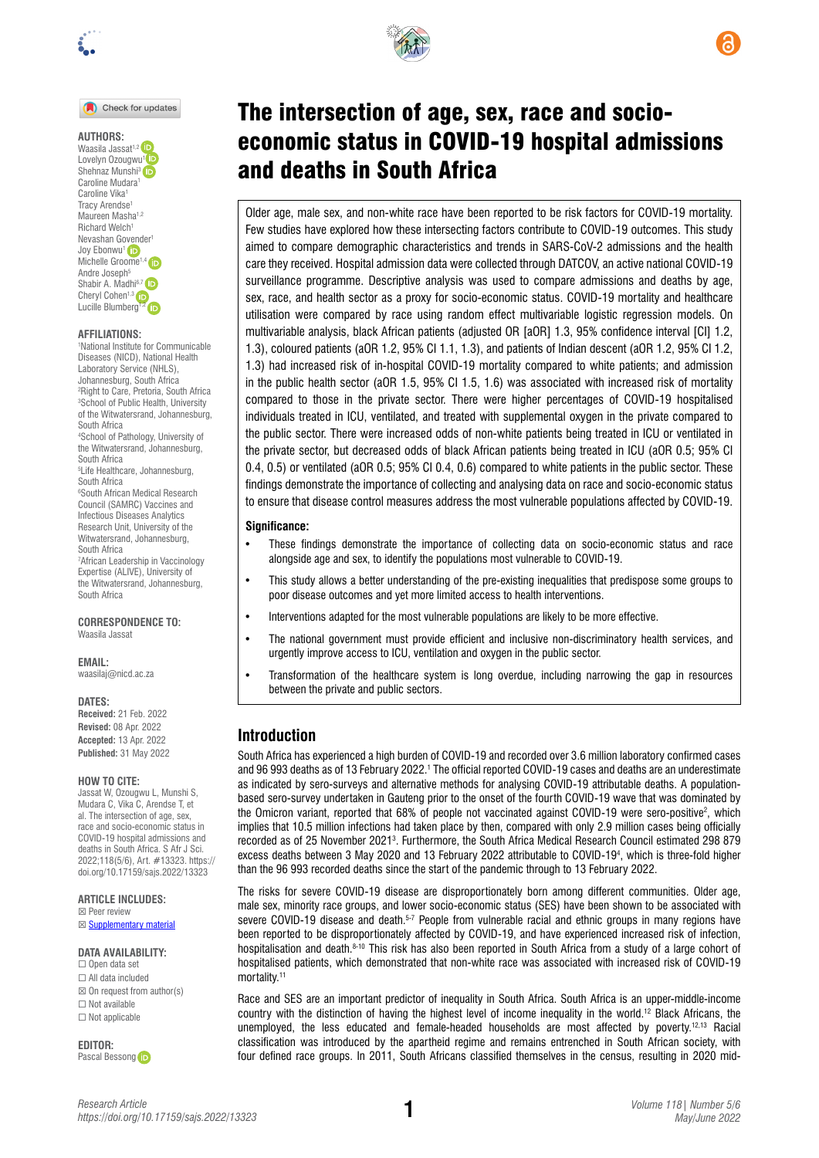

Check for updates

### **AUTHORS:**

Waasila Jassat<sup>1,2</sup> Lovelyn Ozougwu<sup>[1](https://orcid.org/0000-0002-9120-9410)</sup> Shehnaz Munshi<sup>3</sup> (ip Caroline Mudara<sup>1</sup> Caroline Vika1 Tracy Arendse<sup>1</sup> Maureen Masha<sup>1,2</sup> Richard Welch<sup>1</sup> Nevashan G[ovend](https://orcid.org/0000-0002-1329-7785)er1 Joy Ebonwu<sup>1</sup> Michelle Groome<sup>1</sup> Andre Joseph<sup>5</sup> Shabir A. Madhi<sup>6,7</sup> Cheryl Cohen<sup>1,3</sup> LucilleBlumberg<sup>1,2</sup> iD

### **AFFILIATIONS:**

1 National Institute for Communicable Diseases (NICD), National Health Laboratory Service (NHLS), Johannesburg, South Africa 2 Right to Care, Pretoria, South Africa 3 School of Public Health, University of the Witwatersrand, Johannesburg, South Africa 4 School of Pathology, University of the Witwatersrand, Johannesburg, South Africa 5 Life Healthcare, Johannesburg, South Africa 6 South African Medical Research Council (SAMRC) Vaccines and Infectious Diseases Analytics Research Unit, University of the Witwatersrand, Johannesburg, South Africa 7 African Leadership in Vaccinology Expertise (ALIVE), University of the Witwatersrand, Johannesburg,

South Africa

**CORRESPONDENCE TO:**  Waasila Jassat

**EMAIL:** 

[waasilaj@nicd.ac.za](mailto:waasilaj@nicd.ac.za)

#### **DATES:**

**Received:** 21 Feb. 2022 **Revised:** 08 Apr. 2022 **Accepted:** 13 Apr. 2022 **Published:** 31 May 2022

#### **HOW TO CITE:**

Jassat W, Ozougwu L, Munshi S, Mudara C, Vika C, Arendse T, et al. The intersection of age, sex, race and socio-economic status in COVID-19 hospital admissions and deaths in South Africa. S Afr J Sci. 2022;118(5/6), Art. #13323. [https://](https://doi.org/10.17159/sajs.2022/13323) [doi.org/10.17159/sajs.2022/13323](https://doi.org/10.17159/sajs.2022/13323)

**ARTICLE INCLUDES:** ☒ Peer review

⊠ **[Supplementary material](https://doi.org/10.17159/sajs.2022/13323/suppl)** 

### **DATA AVAILABILITY:**

☐ Open data set ☐ All data included  $\boxtimes$  On request from author(s) ☐ Not available ☐ Not applicable

**EDITOR:**  Pascal Besson[g](https://orcid.org/0000-0003-0561-272X)



and deaths in South Africa

Older age, male sex, and non-white race have been reported to be risk factors for COVID-19 mortality. Few studies have explored how these intersecting factors contribute to COVID-19 outcomes. This study aimed to compare demographic characteristics and trends in SARS-CoV-2 admissions and the health care they received. Hospital admission data were collected through DATCOV, an active national COVID-19 surveillance programme. Descriptive analysis was used to compare admissions and deaths by age, sex, race, and health sector as a proxy for socio-economic status. COVID-19 mortality and healthcare utilisation were compared by race using random effect multivariable logistic regression models. On multivariable analysis, black African patients (adjusted OR [aOR] 1.3, 95% confidence interval [CI] 1.2, 1.3), coloured patients (aOR 1.2, 95% CI 1.1, 1.3), and patients of Indian descent (aOR 1.2, 95% CI 1.2, 1.3) had increased risk of in-hospital COVID-19 mortality compared to white patients; and admission in the public health sector (aOR 1.5, 95% CI 1.5, 1.6) was associated with increased risk of mortality compared to those in the private sector. There were higher percentages of COVID-19 hospitalised individuals treated in ICU, ventilated, and treated with supplemental oxygen in the private compared to the public sector. There were increased odds of non-white patients being treated in ICU or ventilated in the private sector, but decreased odds of black African patients being treated in ICU (aOR 0.5; 95% CI 0.4, 0.5) or ventilated (aOR 0.5; 95% CI 0.4, 0.6) compared to white patients in the public sector. These findings demonstrate the importance of collecting and analysing data on race and socio-economic status to ensure that disease control measures address the most vulnerable populations affected by COVID-19.

#### **Significance:**

- These findings demonstrate the importance of collecting data on socio-economic status and race alongside age and sex, to identify the populations most vulnerable to COVID-19.
- This study allows a better understanding of the pre-existing inequalities that predispose some groups to poor disease outcomes and yet more limited access to health interventions.
- Interventions adapted for the most vulnerable populations are likely to be more effective.
- The national government must provide efficient and inclusive non-discriminatory health services, and urgently improve access to ICU, ventilation and oxygen in the public sector.
- Transformation of the healthcare system is long overdue, including narrowing the gap in resources between the private and public sectors.

## **Introduction**

South Africa has experienced a high burden of COVID-19 and recorded over 3.6 million laboratory confirmed cases and 96 993 deaths as of 13 February 2022.<sup>1</sup> The official reported COVID-19 cases and deaths are an underestimate as indicated by sero-surveys and alternative methods for analysing COVID-19 attributable deaths. A populationbased sero-survey undertaken in Gauteng prior to the onset of the fourth COVID-19 wave that was dominated by the Omicron variant, reported that 68% of people not vaccinated against COVID-19 were sero-positive<sup>2</sup>, which implies that 10.5 million infections had taken place by then, compared with only 2.9 million cases being officially recorded as of 25 November 2021<sup>3</sup>. Furthermore, the South Africa Medical Research Council estimated 298 879 excess deaths between 3 May 2020 and 13 February 2022 attributable to COVID-194 , which is three-fold higher than the 96 993 recorded deaths since the start of the pandemic through to 13 February 2022.

The risks for severe COVID-19 disease are disproportionately born among different communities. Older age, male sex, minority race groups, and lower socio-economic status (SES) have been shown to be associated with severe COVID-19 disease and death.<sup>5-7</sup> People from vulnerable racial and ethnic groups in many regions have been reported to be disproportionately affected by COVID-19, and have experienced increased risk of infection, hospitalisation and death.<sup>8-10</sup> This risk has also been reported in South Africa from a study of a large cohort of hospitalised patients, which demonstrated that non-white race was associated with increased risk of COVID-19 mortality.11

Race and SES are an important predictor of inequality in South Africa. South Africa is an upper-middle-income country with the distinction of having the highest level of income inequality in the world.12 Black Africans, the unemployed, the less educated and female-headed households are most affected by poverty.<sup>12,13</sup> Racial classification was introduced by the apartheid regime and remains entrenched in South African society, with four defined race groups. In 2011, South Africans classified themselves in the census, resulting in 2020 mid-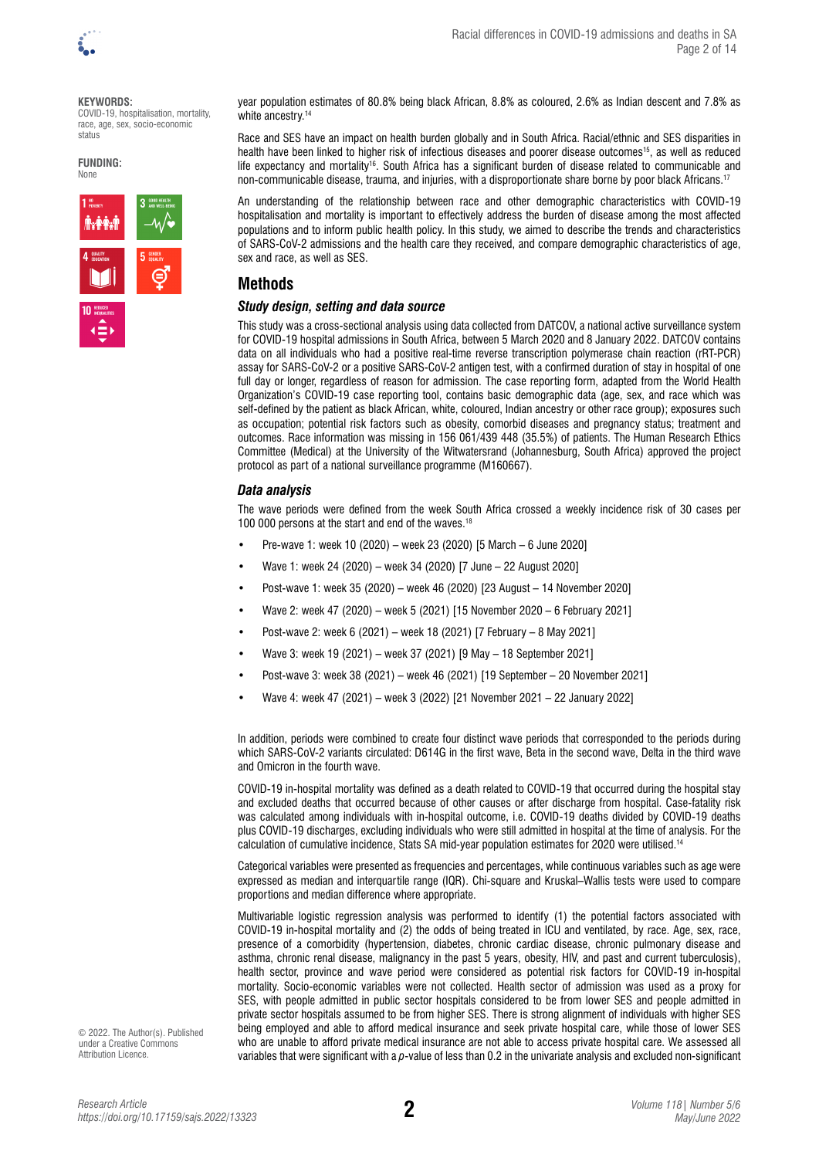

#### **KEYWORDS:**

COVID-19, hospitalisation, mortality, race, age, sex, socio-economic status

**FUNDING: None** 



year population estimates of 80.8% being black African, 8.8% as coloured, 2.6% as Indian descent and 7.8% as white ancestry.<sup>14</sup>

Race and SES have an impact on health burden globally and in South Africa. Racial/ethnic and SES disparities in health have been linked to higher risk of infectious diseases and poorer disease outcomes<sup>15</sup>, as well as reduced life expectancy and mortality<sup>16</sup>. South Africa has a significant burden of disease related to communicable and non-communicable disease, trauma, and injuries, with a disproportionate share borne by poor black Africans.17

An understanding of the relationship between race and other demographic characteristics with COVID-19 hospitalisation and mortality is important to effectively address the burden of disease among the most affected populations and to inform public health policy. In this study, we aimed to describe the trends and characteristics of SARS-CoV-2 admissions and the health care they received, and compare demographic characteristics of age, sex and race, as well as SES.

# **Methods**

## *Study design, setting and data source*

This study was a cross-sectional analysis using data collected from DATCOV, a national active surveillance system for COVID-19 hospital admissions in South Africa, between 5 March 2020 and 8 January 2022. DATCOV contains data on all individuals who had a positive real-time reverse transcription polymerase chain reaction (rRT-PCR) assay for SARS-CoV-2 or a positive SARS-CoV-2 antigen test, with a confirmed duration of stay in hospital of one full day or longer, regardless of reason for admission. The case reporting form, adapted from the World Health Organization's COVID-19 case reporting tool, contains basic demographic data (age, sex, and race which was self-defined by the patient as black African, white, coloured, Indian ancestry or other race group); exposures such as occupation; potential risk factors such as obesity, comorbid diseases and pregnancy status; treatment and outcomes. Race information was missing in 156 061/439 448 (35.5%) of patients. The Human Research Ethics Committee (Medical) at the University of the Witwatersrand (Johannesburg, South Africa) approved the project protocol as part of a national surveillance programme (M160667).

## *Data analysis*

The wave periods were defined from the week South Africa crossed a weekly incidence risk of 30 cases per 100 000 persons at the start and end of the waves.18

- Pre-wave 1: week 10 (2020) week 23 (2020) [5 March 6 June 2020]
- Wave 1: week 24 (2020) week 34 (2020) [7 June 22 August 2020]
- Post-wave 1: week 35 (2020) week 46 (2020) [23 August 14 November 2020]
- Wave 2: week 47 (2020) week 5 (2021) [15 November 2020 6 February 2021]
- Post-wave 2: week 6 (2021) week 18 (2021) [7 February 8 May 2021]
- Wave 3: week 19 (2021) week 37 (2021) [9 May 18 September 2021]
- Post-wave 3: week 38 (2021) week 46 (2021) [19 September 20 November 2021]
- Wave 4: week 47 (2021) week 3 (2022) [21 November 2021 22 January 2022]

In addition, periods were combined to create four distinct wave periods that corresponded to the periods during which SARS-CoV-2 variants circulated: D614G in the first wave, Beta in the second wave, Delta in the third wave and Omicron in the fourth wave.

COVID-19 in-hospital mortality was defined as a death related to COVID-19 that occurred during the hospital stay and excluded deaths that occurred because of other causes or after discharge from hospital. Case-fatality risk was calculated among individuals with in-hospital outcome, i.e. COVID-19 deaths divided by COVID-19 deaths plus COVID-19 discharges, excluding individuals who were still admitted in hospital at the time of analysis. For the calculation of cumulative incidence, Stats SA mid-year population estimates for 2020 were utilised.14

Categorical variables were presented as frequencies and percentages, while continuous variables such as age were expressed as median and interquartile range (IQR). Chi-square and Kruskal–Wallis tests were used to compare proportions and median difference where appropriate.

Multivariable logistic regression analysis was performed to identify (1) the potential factors associated with COVID-19 in-hospital mortality and (2) the odds of being treated in ICU and ventilated, by race. Age, sex, race, presence of a comorbidity (hypertension, diabetes, chronic cardiac disease, chronic pulmonary disease and asthma, chronic renal disease, malignancy in the past 5 years, obesity, HIV, and past and current tuberculosis), health sector, province and wave period were considered as potential risk factors for COVID-19 in-hospital mortality. Socio-economic variables were not collected. Health sector of admission was used as a proxy for SES, with people admitted in public sector hospitals considered to be from lower SES and people admitted in private sector hospitals assumed to be from higher SES. There is strong alignment of individuals with higher SES being employed and able to afford medical insurance and seek private hospital care, while those of lower SES who are unable to afford private medical insurance are not able to access private hospital care. We assessed all variables that were significant with a *p*-value of less than 0.2 in the univariate analysis and excluded non-significant

© 2022. The Author(s). Published under a [Creative Commons](https://creativecommons.org/licenses/by/4.0/)  [Attribution Licence.](https://creativecommons.org/licenses/by/4.0/)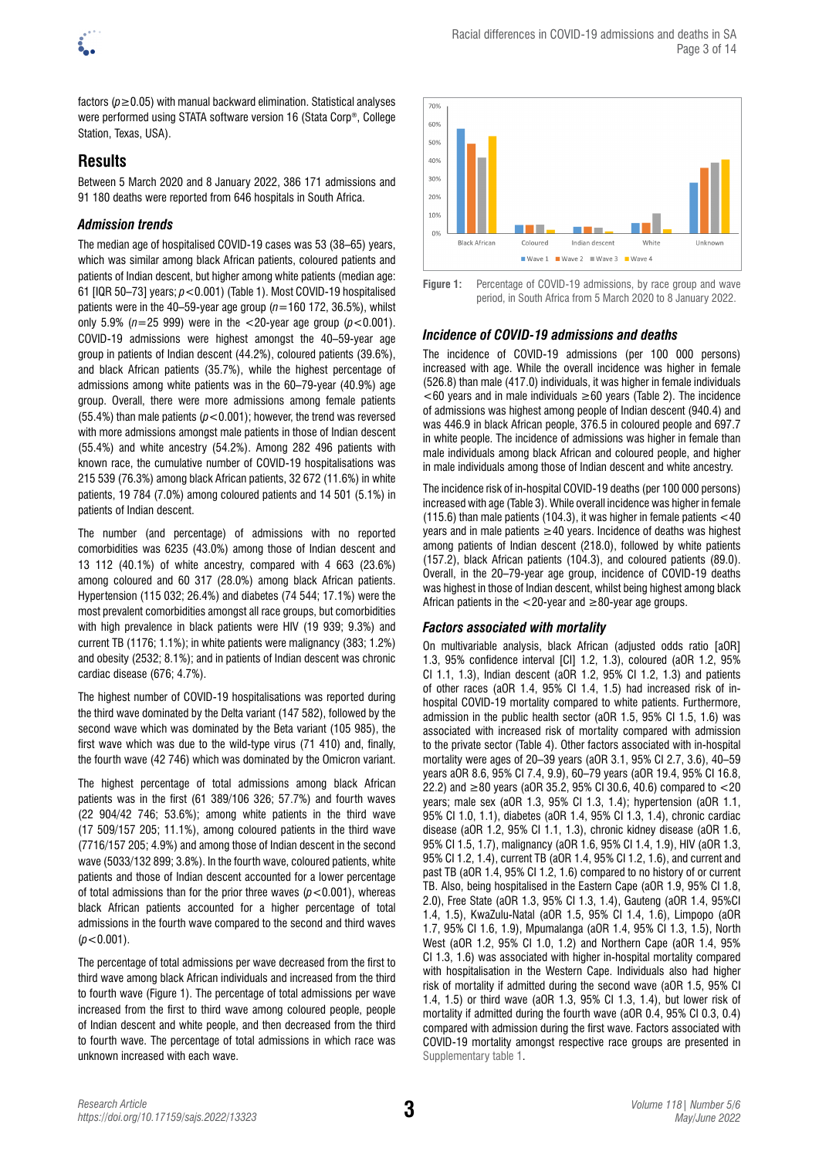

factors (*p*≥0.05) with manual backward elimination. Statistical analyses were performed using STATA software version 16 (Stata Corp®, College Station, Texas, USA).

# **Results**

Between 5 March 2020 and 8 January 2022, 386 171 admissions and 91 180 deaths were reported from 646 hospitals in South Africa.

## *Admission trends*

The median age of hospitalised COVID-19 cases was 53 (38–65) years, which was similar among black African patients, coloured patients and patients of Indian descent, but higher among white patients (median age: 61 [IQR 50–73] years; *p*<0.001) (Table 1). Most COVID-19 hospitalised patients were in the 40–59-year age group  $(n=160 172, 36.5%)$ , whilst only 5.9% ( $n=25$  999) were in the  $<20$ -year age group ( $p<0.001$ ). COVID-19 admissions were highest amongst the 40–59-year age group in patients of Indian descent (44.2%), coloured patients (39.6%), and black African patients (35.7%), while the highest percentage of admissions among white patients was in the 60–79-year (40.9%) age group. Overall, there were more admissions among female patients (55.4%) than male patients ( $p < 0.001$ ); however, the trend was reversed with more admissions amongst male patients in those of Indian descent (55.4%) and white ancestry (54.2%). Among 282 496 patients with known race, the cumulative number of COVID-19 hospitalisations was 215 539 (76.3%) among black African patients, 32 672 (11.6%) in white patients, 19 784 (7.0%) among coloured patients and 14 501 (5.1%) in patients of Indian descent.

The number (and percentage) of admissions with no reported comorbidities was 6235 (43.0%) among those of Indian descent and 13 112 (40.1%) of white ancestry, compared with 4 663 (23.6%) among coloured and 60 317 (28.0%) among black African patients. Hypertension (115 032; 26.4%) and diabetes (74 544; 17.1%) were the most prevalent comorbidities amongst all race groups, but comorbidities with high prevalence in black patients were HIV (19 939; 9.3%) and current TB (1176; 1.1%); in white patients were malignancy (383; 1.2%) and obesity (2532; 8.1%); and in patients of Indian descent was chronic cardiac disease (676; 4.7%).

The highest number of COVID-19 hospitalisations was reported during the third wave dominated by the Delta variant (147 582), followed by the second wave which was dominated by the Beta variant (105 985), the first wave which was due to the wild-type virus (71 410) and, finally, the fourth wave (42 746) which was dominated by the Omicron variant.

The highest percentage of total admissions among black African patients was in the first (61 389/106 326; 57.7%) and fourth waves (22 904/42 746; 53.6%); among white patients in the third wave (17 509/157 205; 11.1%), among coloured patients in the third wave (7716/157 205; 4.9%) and among those of Indian descent in the second wave (5033/132 899; 3.8%). In the fourth wave, coloured patients, white patients and those of Indian descent accounted for a lower percentage of total admissions than for the prior three waves  $(p<0.001)$ , whereas black African patients accounted for a higher percentage of total admissions in the fourth wave compared to the second and third waves  $(p<0.001)$ .

The percentage of total admissions per wave decreased from the first to third wave among black African individuals and increased from the third to fourth wave (Figure 1). The percentage of total admissions per wave increased from the first to third wave among coloured people, people of Indian descent and white people, and then decreased from the third to fourth wave. The percentage of total admissions in which race was unknown increased with each wave.



**Figure 1:** Percentage of COVID-19 admissions, by race group and wave period, in South Africa from 5 March 2020 to 8 January 2022.

## *Incidence of COVID-19 admissions and deaths*

The incidence of COVID-19 admissions (per 100 000 persons) increased with age. While the overall incidence was higher in female (526.8) than male (417.0) individuals, it was higher in female individuals <60 years and in male individuals ≥60 years (Table 2). The incidence of admissions was highest among people of Indian descent (940.4) and was 446.9 in black African people, 376.5 in coloured people and 697.7 in white people. The incidence of admissions was higher in female than male individuals among black African and coloured people, and higher in male individuals among those of Indian descent and white ancestry.

The incidence risk of in-hospital COVID-19 deaths (per 100 000 persons) increased with age (Table 3). While overall incidence was higher in female (115.6) than male patients (104.3), it was higher in female patients <40 years and in male patients  $\geq$  40 years. Incidence of deaths was highest among patients of Indian descent (218.0), followed by white patients (157.2), black African patients (104.3), and coloured patients (89.0). Overall, in the 20–79-year age group, incidence of COVID-19 deaths was highest in those of Indian descent, whilst being highest among black African patients in the  $<$ 20-year and  $\geq$ 80-year age groups.

## *Factors associated with mortality*

On multivariable analysis, black African (adjusted odds ratio [aOR] 1.3, 95% confidence interval [CI] 1.2, 1.3), coloured (aOR 1.2, 95% CI 1.1, 1.3), Indian descent (aOR 1.2, 95% CI 1.2, 1.3) and patients of other races (aOR 1.4, 95% CI 1.4, 1.5) had increased risk of inhospital COVID-19 mortality compared to white patients. Furthermore, admission in the public health sector (aOR 1.5, 95% CI 1.5, 1.6) was associated with increased risk of mortality compared with admission to the private sector (Table 4). Other factors associated with in-hospital mortality were ages of 20–39 years (aOR 3.1, 95% CI 2.7, 3.6), 40–59 years aOR 8.6, 95% CI 7.4, 9.9), 60–79 years (aOR 19.4, 95% CI 16.8, 22.2) and ≥80 years (aOR 35.2, 95% CI 30.6, 40.6) compared to <20 years; male sex (aOR 1.3, 95% CI 1.3, 1.4); hypertension (aOR 1.1, 95% CI 1.0, 1.1), diabetes (aOR 1.4, 95% CI 1.3, 1.4), chronic cardiac disease (aOR 1.2, 95% CI 1.1, 1.3), chronic kidney disease (aOR 1.6, 95% CI 1.5, 1.7), malignancy (aOR 1.6, 95% CI 1.4, 1.9), HIV (aOR 1.3, 95% CI 1.2, 1.4), current TB (aOR 1.4, 95% CI 1.2, 1.6), and current and past TB (aOR 1.4, 95% CI 1.2, 1.6) compared to no history of or current TB. Also, being hospitalised in the Eastern Cape (aOR 1.9, 95% CI 1.8, 2.0), Free State (aOR 1.3, 95% CI 1.3, 1.4), Gauteng (aOR 1.4, 95%CI 1.4, 1.5), KwaZulu-Natal (aOR 1.5, 95% CI 1.4, 1.6), Limpopo (aOR 1.7, 95% CI 1.6, 1.9), Mpumalanga (aOR 1.4, 95% CI 1.3, 1.5), North West (aOR 1.2, 95% CI 1.0, 1.2) and Northern Cape (aOR 1.4, 95% CI 1.3, 1.6) was associated with higher in-hospital mortality compared with hospitalisation in the Western Cape. Individuals also had higher risk of mortality if admitted during the second wave (aOR 1.5, 95% CI 1.4, 1.5) or third wave (aOR 1.3, 95% CI 1.3, 1.4), but lower risk of mortality if admitted during the fourth wave (aOR 0.4, 95% CI 0.3, 0.4) compared with admission during the first wave. Factors associated with COVID-19 mortality amongst respective race groups are presented in [Supplementary table 1.](https://doi.org/10.17159/sajs.2022/13323/suppl)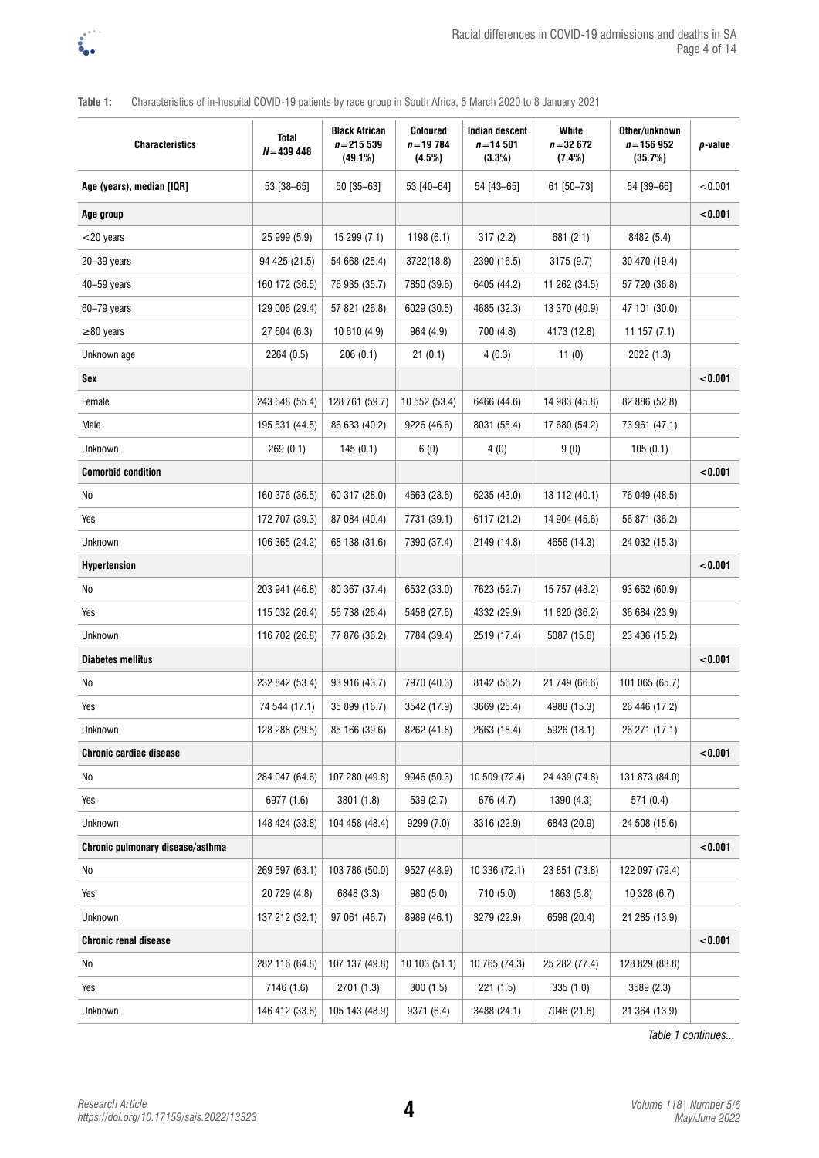

## **Table 1:** Characteristics of in-hospital COVID-19 patients by race group in South Africa, 5 March 2020 to 8 January 2021

| <b>Characteristics</b>           | <b>Total</b><br>$N = 439448$ | <b>Black African</b><br>$n = 215539$<br>(49.1%) | <b>Coloured</b><br>$n = 19784$<br>(4.5%) | Indian descent<br>$n = 14501$<br>(3.3%) | White<br>$n = 32672$<br>(7.4%) | Other/unknown<br>$n = 156952$<br>(35.7%) | p-value |
|----------------------------------|------------------------------|-------------------------------------------------|------------------------------------------|-----------------------------------------|--------------------------------|------------------------------------------|---------|
| Age (years), median [IQR]        | 53 [38-65]                   | 50 [35-63]                                      | 53 [40-64]                               | 54 [43-65]                              | 61 [50-73]                     | 54 [39-66]                               | < 0.001 |
| Age group                        |                              |                                                 |                                          |                                         |                                |                                          | < 0.001 |
| $<$ 20 years                     | 25 999 (5.9)                 | 15 299 (7.1)                                    | 1198 (6.1)                               | 317(2.2)                                | 681 (2.1)                      | 8482 (5.4)                               |         |
| 20-39 years                      | 94 425 (21.5)                | 54 668 (25.4)                                   | 3722(18.8)                               | 2390 (16.5)                             | 3175 (9.7)                     | 30 470 (19.4)                            |         |
| 40-59 years                      | 160 172 (36.5)               | 76 935 (35.7)                                   | 7850 (39.6)                              | 6405 (44.2)                             | 11 262 (34.5)                  | 57 720 (36.8)                            |         |
| 60-79 years                      | 129 006 (29.4)               | 57 821 (26.8)                                   | 6029 (30.5)                              | 4685 (32.3)                             | 13 370 (40.9)                  | 47 101 (30.0)                            |         |
| $\geq$ 80 years                  | 27 604 (6.3)                 | 10 610 (4.9)                                    | 964 (4.9)                                | 700 (4.8)                               | 4173 (12.8)                    | 11157(7.1)                               |         |
| Unknown age                      | 2264 (0.5)                   | 206(0.1)                                        | 21(0.1)                                  | 4(0.3)                                  | 11(0)                          | 2022 (1.3)                               |         |
| Sex                              |                              |                                                 |                                          |                                         |                                |                                          | < 0.001 |
| Female                           | 243 648 (55.4)               | 128 761 (59.7)                                  | 10 552 (53.4)                            | 6466 (44.6)                             | 14 983 (45.8)                  | 82 886 (52.8)                            |         |
| Male                             | 195 531 (44.5)               | 86 633 (40.2)                                   | 9226 (46.6)                              | 8031 (55.4)                             | 17 680 (54.2)                  | 73 961 (47.1)                            |         |
| Unknown                          | 269(0.1)                     | 145(0.1)                                        | 6(0)                                     | 4(0)                                    | 9(0)                           | 105(0.1)                                 |         |
| <b>Comorbid condition</b>        |                              |                                                 |                                          |                                         |                                |                                          | < 0.001 |
| No                               | 160 376 (36.5)               | 60 317 (28.0)                                   | 4663 (23.6)                              | 6235 (43.0)                             | 13 112 (40.1)                  | 76 049 (48.5)                            |         |
| Yes                              | 172 707 (39.3)               | 87 084 (40.4)                                   | 7731 (39.1)                              | 6117 (21.2)                             | 14 904 (45.6)                  | 56 871 (36.2)                            |         |
| Unknown                          | 106 365 (24.2)               | 68 138 (31.6)                                   | 7390 (37.4)                              | 2149 (14.8)                             | 4656 (14.3)                    | 24 032 (15.3)                            |         |
| <b>Hypertension</b>              |                              |                                                 |                                          |                                         |                                |                                          | < 0.001 |
| No                               | 203 941 (46.8)               | 80 367 (37.4)                                   | 6532 (33.0)                              | 7623 (52.7)                             | 15 757 (48.2)                  | 93 662 (60.9)                            |         |
| Yes                              | 115 032 (26.4)               | 56 738 (26.4)                                   | 5458 (27.6)                              | 4332 (29.9)                             | 11 820 (36.2)                  | 36 684 (23.9)                            |         |
| Unknown                          | 116 702 (26.8)               | 77 876 (36.2)                                   | 7784 (39.4)                              | 2519 (17.4)                             | 5087 (15.6)                    | 23 436 (15.2)                            |         |
| <b>Diabetes mellitus</b>         |                              |                                                 |                                          |                                         |                                |                                          | < 0.001 |
| No                               | 232 842 (53.4)               | 93 916 (43.7)                                   | 7970 (40.3)                              | 8142 (56.2)                             | 21 749 (66.6)                  | 101 065 (65.7)                           |         |
| Yes                              | 74 544 (17.1)                | 35 899 (16.7)                                   | 3542 (17.9)                              | 3669 (25.4)                             | 4988 (15.3)                    | 26 446 (17.2)                            |         |
| Unknown                          | 128 288 (29.5)               | 85 166 (39.6)                                   | 8262 (41.8)                              | 2663 (18.4)                             | 5926 (18.1)                    | 26 271 (17.1)                            |         |
| <b>Chronic cardiac disease</b>   |                              |                                                 |                                          |                                         |                                |                                          | < 0.001 |
| No                               | 284 047 (64.6)               | 107 280 (49.8)                                  | 9946 (50.3)                              | 10 509 (72.4)                           | 24 439 (74.8)                  | 131 873 (84.0)                           |         |
| Yes                              | 6977 (1.6)                   | 3801 (1.8)                                      | 539 (2.7)                                | 676 (4.7)                               | 1390 (4.3)                     | 571(0.4)                                 |         |
| Unknown                          | 148 424 (33.8)               | 104 458 (48.4)                                  | 9299 (7.0)                               | 3316 (22.9)                             | 6843 (20.9)                    | 24 508 (15.6)                            |         |
| Chronic pulmonary disease/asthma |                              |                                                 |                                          |                                         |                                |                                          | < 0.001 |
| No                               | 269 597 (63.1)               | 103 786 (50.0)                                  | 9527 (48.9)                              | 10 336 (72.1)                           | 23 851 (73.8)                  | 122 097 (79.4)                           |         |
| Yes                              | 20 729 (4.8)                 | 6848 (3.3)                                      | 980 (5.0)                                | 710(5.0)                                | 1863 (5.8)                     | 10 328 (6.7)                             |         |
| Unknown                          | 137 212 (32.1)               | 97 061 (46.7)                                   | 8989 (46.1)                              | 3279 (22.9)                             | 6598 (20.4)                    | 21 285 (13.9)                            |         |
| <b>Chronic renal disease</b>     |                              |                                                 |                                          |                                         |                                |                                          | < 0.001 |
| No                               | 282 116 (64.8)               | 107 137 (49.8)                                  | 10 103 (51.1)                            | 10 765 (74.3)                           | 25 282 (77.4)                  | 128 829 (83.8)                           |         |
| Yes                              | 7146 (1.6)                   | 2701(1.3)                                       | 300(1.5)                                 | 221(1.5)                                | 335 (1.0)                      | 3589 (2.3)                               |         |
| Unknown                          | 146 412 (33.6)               | 105 143 (48.9)                                  | 9371 (6.4)                               | 3488 (24.1)                             | 7046 (21.6)                    | 21 364 (13.9)                            |         |

*Table 1 continues...*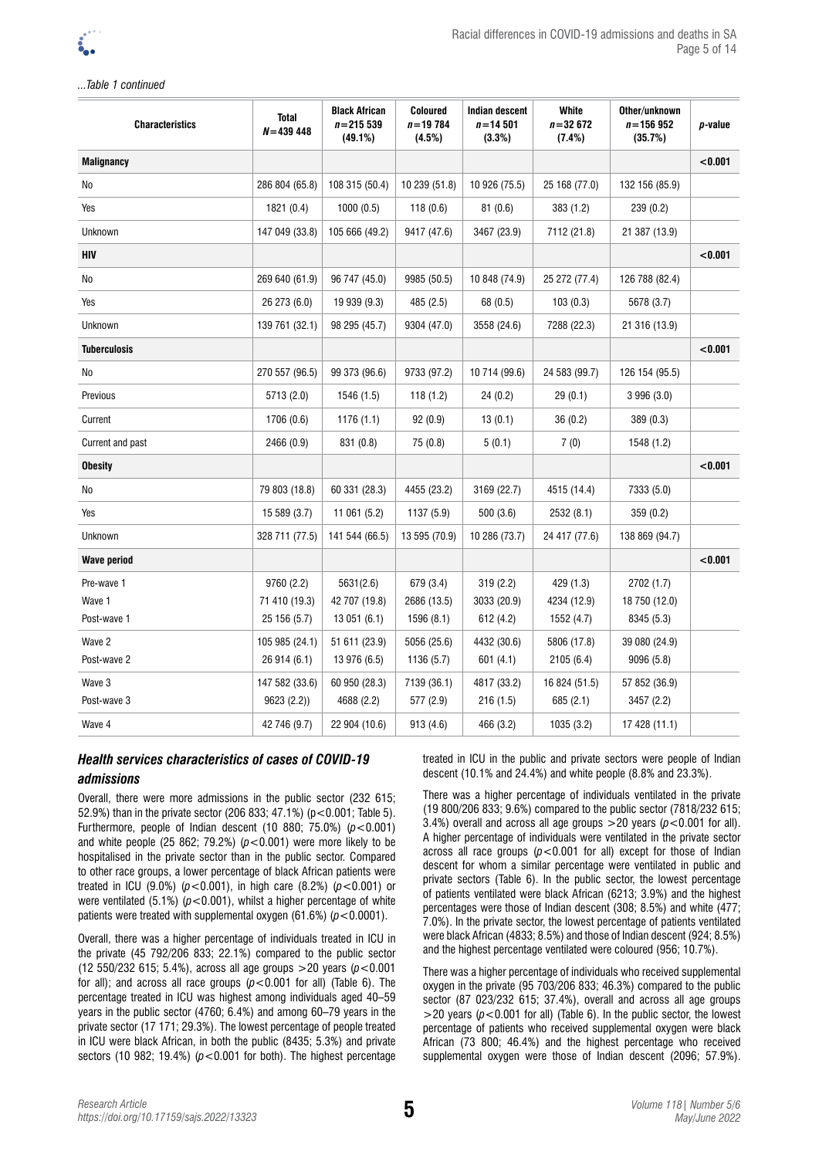### *...Table 1 continued*

| <b>Characteristics</b> | <b>Total</b><br>$N = 439448$ | <b>Black African</b><br>$n = 215539$<br>$(49.1\%)$ | <b>Coloured</b><br>$n = 19784$<br>(4.5%) | <b>Indian descent</b><br>$n = 14501$<br>(3.3%) | <b>White</b><br>$n = 32672$<br>(7.4%) | Other/unknown<br>$n = 156952$<br>(35.7%) | p-value |
|------------------------|------------------------------|----------------------------------------------------|------------------------------------------|------------------------------------------------|---------------------------------------|------------------------------------------|---------|
| <b>Malignancy</b>      |                              |                                                    |                                          |                                                |                                       |                                          | < 0.001 |
| No                     | 286 804 (65.8)               | 108 315 (50.4)                                     | 10 239 (51.8)                            | 10 926 (75.5)                                  | 25 168 (77.0)                         | 132 156 (85.9)                           |         |
| Yes                    | 1821 (0.4)                   | 1000(0.5)                                          | 118(0.6)                                 | 81(0.6)                                        | 383 (1.2)                             | 239 (0.2)                                |         |
| Unknown                | 147 049 (33.8)               | 105 666 (49.2)                                     | 9417 (47.6)                              | 3467 (23.9)                                    | 7112 (21.8)                           | 21 387 (13.9)                            |         |
| HIV                    |                              |                                                    |                                          |                                                |                                       |                                          | < 0.001 |
| No                     | 269 640 (61.9)               | 96 747 (45.0)                                      | 9985 (50.5)                              | 10 848 (74.9)                                  | 25 272 (77.4)                         | 126 788 (82.4)                           |         |
| Yes                    | 26 273 (6.0)                 | 19 939 (9.3)                                       | 485 (2.5)                                | 68 (0.5)                                       | 103(0.3)                              | 5678 (3.7)                               |         |
| Unknown                | 139 761 (32.1)               | 98 295 (45.7)                                      | 9304 (47.0)                              | 3558 (24.6)                                    | 7288 (22.3)                           | 21 316 (13.9)                            |         |
| <b>Tuberculosis</b>    |                              |                                                    |                                          |                                                |                                       |                                          | < 0.001 |
| No                     | 270 557 (96.5)               | 99 373 (96.6)                                      | 9733 (97.2)                              | 10 714 (99.6)                                  | 24 583 (99.7)                         | 126 154 (95.5)                           |         |
| Previous               | 5713 (2.0)                   | 1546 (1.5)                                         | 118(1.2)                                 | 24(0.2)                                        | 29(0.1)                               | 3 996 (3.0)                              |         |
| Current                | 1706 (0.6)                   | 1176 (1.1)                                         | 92(0.9)                                  | 13(0.1)                                        | 36(0.2)                               | 389(0.3)                                 |         |
| Current and past       | 2466 (0.9)                   | 831 (0.8)                                          | 75 (0.8)                                 | 5(0.1)                                         | 7(0)                                  | 1548 (1.2)                               |         |
| <b>Obesity</b>         |                              |                                                    |                                          |                                                |                                       |                                          | < 0.001 |
| No                     | 79 803 (18.8)                | 60 331 (28.3)                                      | 4455 (23.2)                              | 3169 (22.7)                                    | 4515 (14.4)                           | 7333 (5.0)                               |         |
| Yes                    | 15 589 (3.7)                 | 11 061 (5.2)                                       | 1137 (5.9)                               | 500 (3.6)                                      | 2532 (8.1)                            | 359(0.2)                                 |         |
| Unknown                | 328 711 (77.5)               | 141 544 (66.5)                                     | 13 595 (70.9)                            | 10 286 (73.7)                                  | 24 417 (77.6)                         | 138 869 (94.7)                           |         |
| <b>Wave period</b>     |                              |                                                    |                                          |                                                |                                       |                                          | < 0.001 |
| Pre-wave 1             | 9760 (2.2)                   | 5631(2.6)                                          | 679 (3.4)                                | 319(2.2)                                       | 429 (1.3)                             | 2702 (1.7)                               |         |
| Wave 1                 | 71 410 (19.3)                | 42 707 (19.8)                                      | 2686 (13.5)                              | 3033 (20.9)                                    | 4234 (12.9)                           | 18 750 (12.0)                            |         |
| Post-wave 1            | 25 156 (5.7)                 | 13 051 (6.1)                                       | 1596 (8.1)                               | 612 (4.2)                                      | 1552 (4.7)                            | 8345 (5.3)                               |         |
| Wave 2                 | 105 985 (24.1)               | 51 611 (23.9)                                      | 5056 (25.6)                              | 4432 (30.6)                                    | 5806 (17.8)                           | 39 080 (24.9)                            |         |
| Post-wave 2            | 26 914 (6.1)                 | 13 976 (6.5)                                       | 1136 (5.7)                               | 601(4.1)                                       | 2105(6.4)                             | 9096 (5.8)                               |         |
| Wave 3                 | 147 582 (33.6)               | 60 950 (28.3)                                      | 7139 (36.1)                              | 4817 (33.2)                                    | 16 824 (51.5)                         | 57 852 (36.9)                            |         |
| Post-wave 3            | 9623 (2.2))                  | 4688 (2.2)                                         | 577 (2.9)                                | 216(1.5)                                       | 685 (2.1)                             | 3457 (2.2)                               |         |
| Wave 4                 | 42 746 (9.7)                 | 22 904 (10.6)                                      | 913 (4.6)                                | 466 (3.2)                                      | 1035 (3.2)                            | 17 428 (11.1)                            |         |

## *Health services characteristics of cases of COVID-19 admissions*

Overall, there were more admissions in the public sector (232 615; 52.9%) than in the private sector (206 833; 47.1%) (p<0.001; Table 5). Furthermore, people of Indian descent (10 880; 75.0%) (*p*<0.001) and white people  $(25 862; 79.2%) (p < 0.001)$  were more likely to be hospitalised in the private sector than in the public sector. Compared to other race groups, a lower percentage of black African patients were treated in ICU (9.0%) (*p*<0.001), in high care (8.2%) (*p*<0.001) or were ventilated  $(5.1\%)$   $(p<0.001)$ , whilst a higher percentage of white patients were treated with supplemental oxygen (61.6%) (*p*<0.0001).

Overall, there was a higher percentage of individuals treated in ICU in the private (45 792/206 833; 22.1%) compared to the public sector (12 550/232 615; 5.4%), across all age groups >20 years (*p*<0.001 for all); and across all race groups  $(p<0.001$  for all) (Table 6). The percentage treated in ICU was highest among individuals aged 40–59 years in the public sector (4760; 6.4%) and among 60–79 years in the private sector (17 171; 29.3%). The lowest percentage of people treated in ICU were black African, in both the public (8435; 5.3%) and private sectors (10 982; 19.4%) ( $p < 0.001$  for both). The highest percentage treated in ICU in the public and private sectors were people of Indian descent (10.1% and 24.4%) and white people (8.8% and 23.3%).

There was a higher percentage of individuals ventilated in the private (19 800/206 833; 9.6%) compared to the public sector (7818/232 615; 3.4%) overall and across all age groups  $>$  20 years ( $p$  < 0.001 for all). A higher percentage of individuals were ventilated in the private sector across all race groups  $(p<0.001$  for all) except for those of Indian descent for whom a similar percentage were ventilated in public and private sectors (Table 6). In the public sector, the lowest percentage of patients ventilated were black African (6213; 3.9%) and the highest percentages were those of Indian descent (308; 8.5%) and white (477; 7.0%). In the private sector, the lowest percentage of patients ventilated were black African (4833; 8.5%) and those of Indian descent (924; 8.5%) and the highest percentage ventilated were coloured (956; 10.7%).

There was a higher percentage of individuals who received supplemental oxygen in the private (95 703/206 833; 46.3%) compared to the public sector (87 023/232 615; 37.4%), overall and across all age groups  $>$ 20 years ( $p$ <0.001 for all) (Table 6). In the public sector, the lowest percentage of patients who received supplemental oxygen were black African (73 800; 46.4%) and the highest percentage who received supplemental oxygen were those of Indian descent (2096; 57.9%).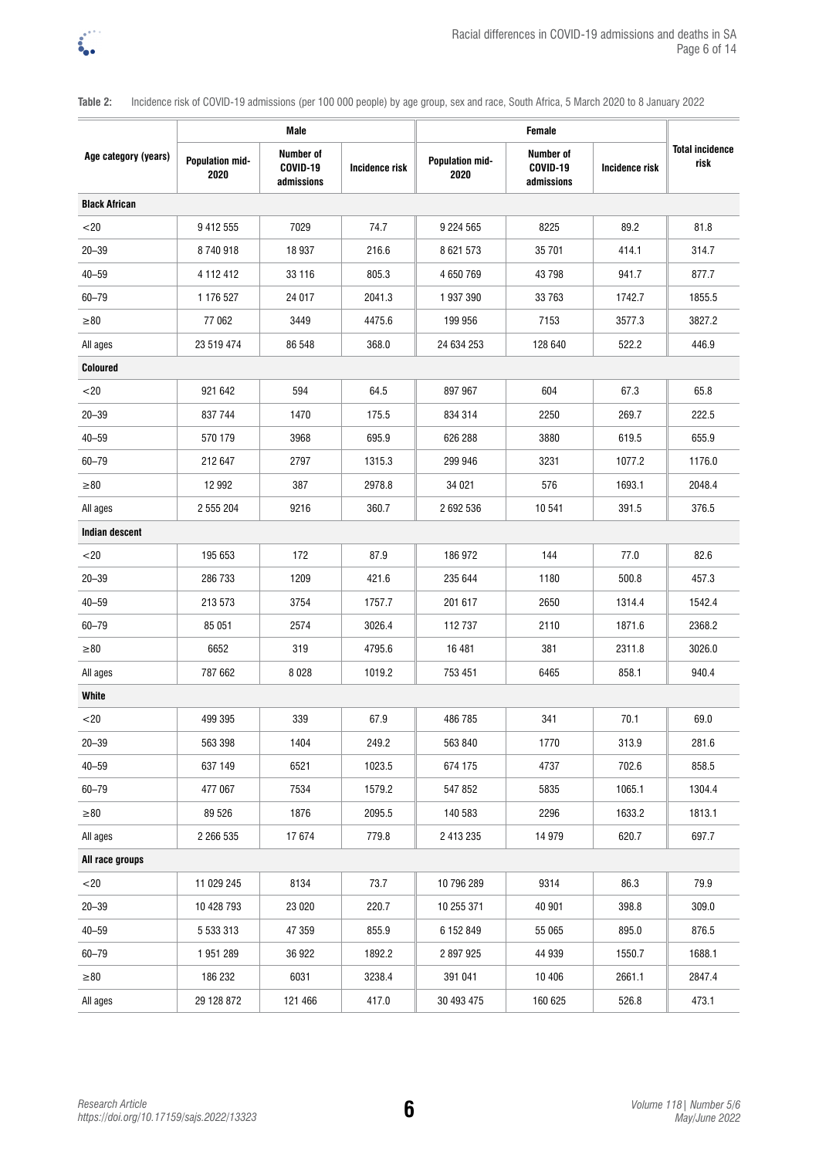

**Table 2:** Incidence risk of COVID-19 admissions (per 100 000 people) by age group, sex and race, South Africa, 5 March 2020 to 8 January 2022

|                       | Male                           |                                     |                |                                |                                            |                |                                |
|-----------------------|--------------------------------|-------------------------------------|----------------|--------------------------------|--------------------------------------------|----------------|--------------------------------|
| Age category (years)  | <b>Population mid-</b><br>2020 | Number of<br>COVID-19<br>admissions | Incidence risk | <b>Population mid-</b><br>2020 | <b>Number of</b><br>COVID-19<br>admissions | Incidence risk | <b>Total incidence</b><br>risk |
| <b>Black African</b>  |                                |                                     |                |                                |                                            |                |                                |
| $20$                  | 9 412 555                      | 7029                                | 74.7           | 9 2 2 4 5 6 5                  | 8225                                       | 89.2           | 81.8                           |
| $20 - 39$             | 8740918                        | 18 937                              | 216.6          | 8 621 573                      | 35 701                                     | 414.1          | 314.7                          |
| $40 - 59$             | 4 112 412                      | 33 116                              | 805.3          | 4 650 769                      | 43798                                      | 941.7          | 877.7                          |
| 60-79                 | 1 176 527                      | 24 017                              | 2041.3         | 1937390                        | 33 763                                     | 1742.7         | 1855.5                         |
| $\geq 80$             | 77 062                         | 3449                                | 4475.6         | 199 956                        | 7153                                       | 3577.3         | 3827.2                         |
| All ages              | 23 519 474                     | 86 548                              | 368.0          | 24 634 253                     | 128 640                                    | 522.2          | 446.9                          |
| <b>Coloured</b>       |                                |                                     |                |                                |                                            |                |                                |
| $<$ 20                | 921 642                        | 594                                 | 64.5           | 897 967                        | 604                                        | 67.3           | 65.8                           |
| $20 - 39$             | 837 744                        | 1470                                | 175.5          | 834 314                        | 2250                                       | 269.7          | 222.5                          |
| $40 - 59$             | 570 179                        | 3968                                | 695.9          | 626 288                        | 3880                                       | 619.5          | 655.9                          |
| 60-79                 | 212 647                        | 2797                                | 1315.3         | 299 946                        | 3231                                       | 1077.2         | 1176.0                         |
| $\geq 80$             | 12 992                         | 387                                 | 2978.8         | 34 0 21                        | 576                                        | 1693.1         | 2048.4                         |
| All ages              | 2 555 204                      | 9216                                | 360.7          | 2 692 536                      | 10 541                                     | 391.5          | 376.5                          |
| <b>Indian descent</b> |                                |                                     |                |                                |                                            |                |                                |
| < 20                  | 195 653                        | 172                                 | 87.9           | 186 972                        | 144                                        | 77.0           | 82.6                           |
| $20 - 39$             | 286 733                        | 1209                                | 421.6          | 235 644                        | 1180                                       | 500.8          | 457.3                          |
| $40 - 59$             | 213 573                        | 3754                                | 1757.7         | 201 617                        | 2650                                       | 1314.4         | 1542.4                         |
| 60-79                 | 85 051                         | 2574                                | 3026.4         | 112737                         | 2110                                       | 1871.6         | 2368.2                         |
| $\geq 80$             | 6652                           | 319                                 | 4795.6         | 16 481                         | 381                                        | 2311.8         | 3026.0                         |
| All ages              | 787 662                        | 8028                                | 1019.2         | 753 451                        | 6465                                       | 858.1          | 940.4                          |
| <b>White</b>          |                                |                                     |                |                                |                                            |                |                                |
| $20$                  | 499 395                        | 339                                 | 67.9           | 486 785                        | 341                                        | 70.1           | 69.0                           |
| $20 - 39$             | 563 398                        | 1404                                | 249.2          | 563 840                        | 1770                                       | 313.9          | 281.6                          |
| $40 - 59$             | 637 149                        | 6521                                | 1023.5         | 674 175                        | 4737                                       | 702.6          | 858.5                          |
| $60 - 79$             | 477 067                        | 7534                                | 1579.2         | 547 852                        | 5835                                       | 1065.1         | 1304.4                         |
| $\geq 80$             | 89 526                         | 1876                                | 2095.5         | 140 583                        | 2296                                       | 1633.2         | 1813.1                         |
| All ages              | 2 266 535                      | 17674                               | 779.8          | 2 413 235                      | 14 979                                     | 620.7          | 697.7                          |
| All race groups       |                                |                                     |                |                                |                                            |                |                                |
| $<$ 20                | 11 029 245                     | 8134                                | 73.7           | 10 796 289                     | 9314                                       | 86.3           | 79.9                           |
| $20 - 39$             | 10 428 793                     | 23 0 20                             | 220.7          | 10 255 371                     | 40 901                                     | 398.8          | 309.0                          |
| 40-59                 | 5 533 313                      | 47 359                              | 855.9          | 6 152 849                      | 55 065                                     | 895.0          | 876.5                          |
| $60 - 79$             | 1951289                        | 36 922                              | 1892.2         | 2 897 925                      | 44 939                                     | 1550.7         | 1688.1                         |
| $\geq 80$             | 186 232                        | 6031                                | 3238.4         | 391 041                        | 10 40 6                                    | 2661.1         | 2847.4                         |
| All ages              | 29 128 872                     | 121 466                             | 417.0          | 30 493 475                     | 160 625                                    | 526.8          | 473.1                          |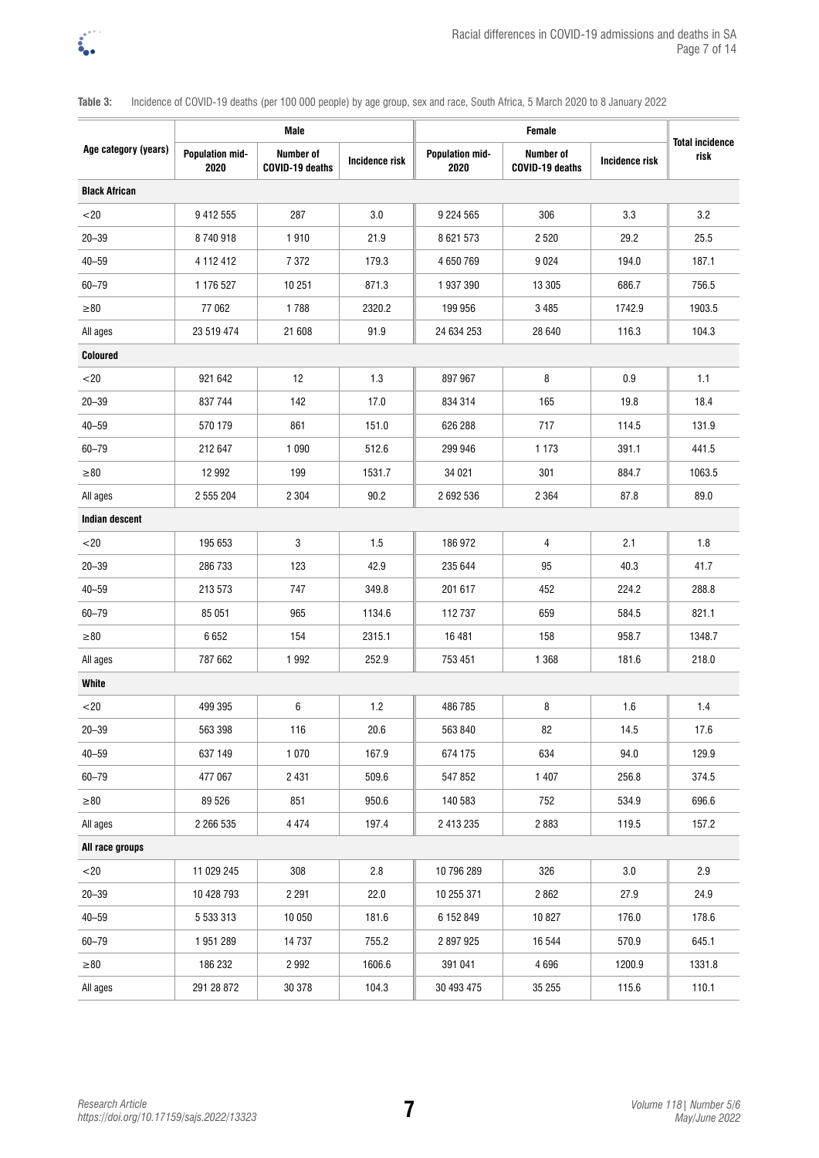

# **Age category (years) Male Female Total incidence Population mid- Rumber of Incidence risk Population mid- Rumber of Incidence risk** risk **2020 Number of**   $COVID-19$  deaths **2020 Number of COVID-19 deaths Incidence risk Black African**  $\langle 20 \hspace{1.6cm} | \hspace{.15cm} 9 \hspace{.08cm} 412 \hspace{.05cm} 555 \hspace{1.2cm} | \hspace{.15cm} 287 \hspace{1.2cm} | \hspace{.15cm} 3.0 \hspace{1.2cm} | \hspace{.15cm} 9 \hspace{.05cm} 224 \hspace{.05cm} 565 \hspace{1.2cm} | \hspace{.15cm} 306 \hspace{1.2cm} | \hspace{.15cm} 3.3 \hspace{1.2cm} | \hspace{.15cm} 3.2 \hspace{1.$ 20–39 8 740 918 1 910 21.9 8 621 573 2 520 29.2 25.5 40–59 4 112 412 7 372 179.3 4 650 769 9 024 194.0 187.1 60–79 1 176 527 10 251 871.3 1 937 390 13 305 686.7 756.5 ≥80 77 062 1 788 2320.2 199 956 3 485 1742.9 1903.5 All ages | 23 519 474 | 21 608 | 91.9 || 24 634 253 | 28 640 | 116.3 || 104.3 **Coloured**  $<$ 20  $\,$  921 642  $\,$  12  $\,$  1.3  $\,$  897 967  $\,$  8  $\,$  0.9  $\,$  1.1 20–39 837 744 142 17.0 834 314 165 19.8 18.4 40–59 570 179 861 151.0 626 288 717 114.5 131.9 60–79 212 647 1 090 512.6 299 946 1 173 391.1 441.5 ≥80 12 992 199 1531.7 34 021 301 884.7 1063.5 All ages | 2 555 204 | 2 304 | 90.2 || 2 692 536 | 2 364 | 87.8 || 89.0 **Indian descent**  $<$ 20  $\,$  195 653  $\,$  3  $\,$  1.5  $\,$  186 972  $\,$  4  $\,$  2.1  $\,$  1.8 20–39 286 733 123 42.9 235 644 95 40.3 41.7 40–59 213 573 747 349.8 201 617 452 224.2 288.8 60–79 85 051 965 1134.6 112 737 659 584.5 821.1 ≥80 6 652 154 2315.1 16 481 158 958.7 1348.7 All ages | 787 662 | 1 992 | 252.9 || 753 451 | 1 368 | 181.6 || 218.0 **White**  $<$ 20 (and  $<$  499 395  $\,$  6  $\,$  1.2  $\,$  486 785  $\,$  8  $\,$  1.6  $\,$  1.4  $\,$  1.4  $\,$ 20–39 563 398 116 20.6 563 840 82 14.5 17.6 40–59 637 149 1 070 167.9 674 175 634 94.0 129.9 60–79 477 067 2 431 509.6 547 852 1 407 256.8 374.5 ≥80 89 526 851 950.6 140 583 752 534.9 696.6 All ages | 2 266 535 | 4 474 | 197.4 || 2 413 235 | 2 883 | 119.5 || 157.2 **All race groups**  $\langle 20 \hspace{1.6cm} | \hspace{.15cm} 11\,029\,245 \hspace{1.4cm} | \hspace{.15cm} 308 \hspace{1.4cm} | \hspace{.15cm} 2.8 \hspace{1.4cm} | \hspace{.15cm} 10\,796\,289 \hspace{1.4cm} | \hspace{.15cm} 326 \hspace{1.4cm} | \hspace{.15cm} 3.0 \hspace{1.4cm} | \hspace{.15cm} 2.9 \hspace{1.4cm} | \hspace{.15cm} 2.9 \hspace{1.4cm} | \hspace$ 20–39 10 428 793 2 291 22.0 10 255 371 2 862 27.9 24.9 40–59 5 533 313 10 050 181.6 6 152 849 10 827 176.0 178.6 60–79 1 951 289 14 737 755.2 2 897 925 16 544 570.9 645.1 ≥80 186 232 2 992 1606.6 391 041 4 696 1200.9 1331.8 All ages | 291 28 872 | 30 378 | 104.3 || 30 493 475 | 35 255 | 115.6 || 110.1

**Table 3:** Incidence of COVID-19 deaths (per 100 000 people) by age group, sex and race, South Africa, 5 March 2020 to 8 January 2022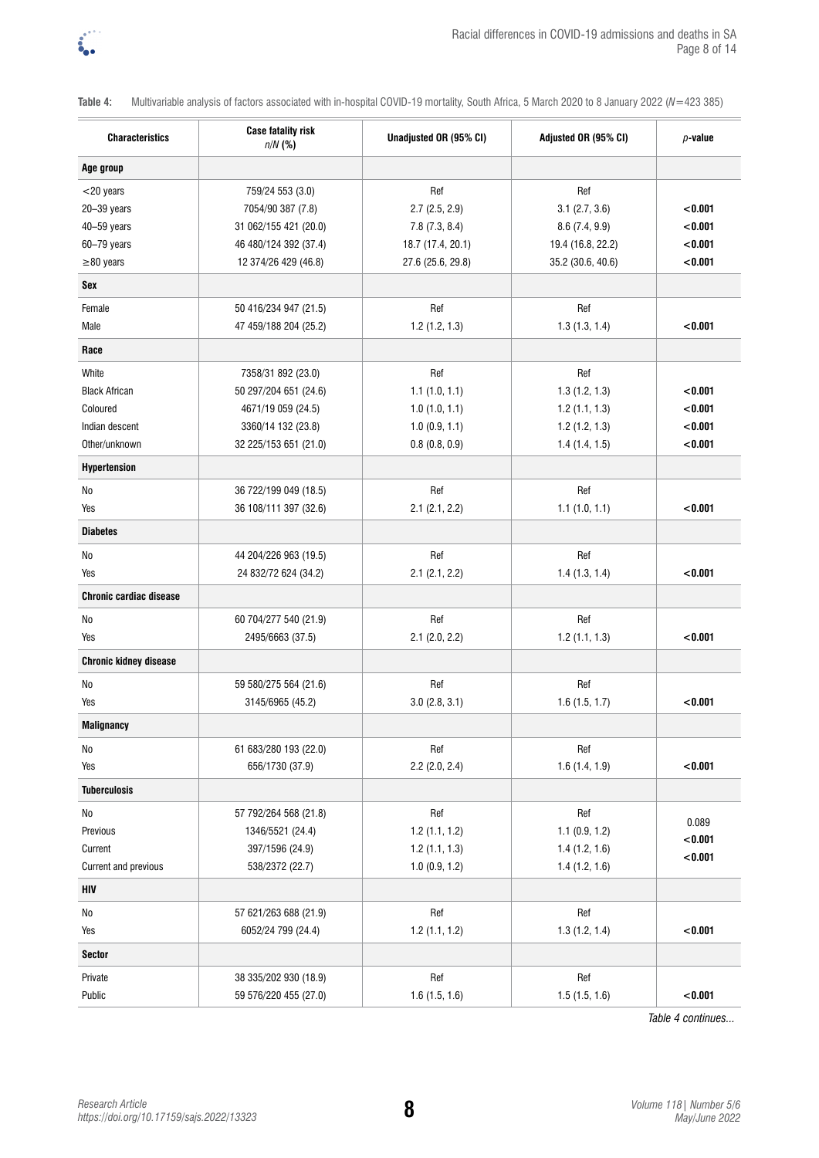

**Table 4:** Multivariable analysis of factors associated with in-hospital COVID-19 mortality, South Africa, 5 March 2020 to 8 January 2022 (*N*=423 385)

| <b>Characteristics</b>         | <b>Case fatality risk</b><br>$n/N$ (%) | Unadjusted OR (95% CI) | Adjusted OR (95% CI) | $p$ -value |
|--------------------------------|----------------------------------------|------------------------|----------------------|------------|
| Age group                      |                                        |                        |                      |            |
| $<$ 20 years                   | 759/24 553 (3.0)                       | Ref                    | Ref                  |            |
| 20-39 years                    | 7054/90 387 (7.8)                      | $2.7$ (2.5, 2.9)       | 3.1(2.7, 3.6)        | < 0.001    |
| 40-59 years                    | 31 062/155 421 (20.0)                  | 7.8(7.3, 8.4)          | 8.6(7.4, 9.9)        | < 0.001    |
| 60-79 years                    | 46 480/124 392 (37.4)                  | 18.7 (17.4, 20.1)      | 19.4 (16.8, 22.2)    | < 0.001    |
| $\geq$ 80 years                | 12 374/26 429 (46.8)                   | 27.6 (25.6, 29.8)      | 35.2 (30.6, 40.6)    | < 0.001    |
| Sex                            |                                        |                        |                      |            |
| Female                         | 50 416/234 947 (21.5)                  | Ref                    | Ref                  |            |
| Male                           | 47 459/188 204 (25.2)                  | 1.2(1.2, 1.3)          | 1.3(1.3, 1.4)        | < 0.001    |
| Race                           |                                        |                        |                      |            |
| White                          | 7358/31 892 (23.0)                     | Ref                    | Ref                  |            |
| <b>Black African</b>           | 50 297/204 651 (24.6)                  | 1.1(1.0, 1.1)          | 1.3(1.2, 1.3)        | < 0.001    |
| Coloured                       | 4671/19 059 (24.5)                     | 1.0(1.0, 1.1)          | 1.2(1.1, 1.3)        | < 0.001    |
| Indian descent                 | 3360/14 132 (23.8)                     | 1.0(0.9, 1.1)          | 1.2(1.2, 1.3)        | < 0.001    |
| Other/unknown                  | 32 225/153 651 (21.0)                  | 0.8(0.8, 0.9)          | 1.4(1.4, 1.5)        | < 0.001    |
| <b>Hypertension</b>            |                                        |                        |                      |            |
| No                             | 36 722/199 049 (18.5)                  | Ref                    | Ref                  |            |
| Yes                            | 36 108/111 397 (32.6)                  | 2.1(2.1, 2.2)          | 1.1(1.0, 1.1)        | < 0.001    |
| <b>Diabetes</b>                |                                        |                        |                      |            |
| No                             | 44 204/226 963 (19.5)                  | Ref                    | Ref                  |            |
| Yes                            | 24 832/72 624 (34.2)                   | 2.1(2.1, 2.2)          | 1.4(1.3, 1.4)        | < 0.001    |
| <b>Chronic cardiac disease</b> |                                        |                        |                      |            |
| No                             | 60 704/277 540 (21.9)                  | Ref                    | Ref                  |            |
| Yes                            | 2495/6663 (37.5)                       | $2.1$ (2.0, 2.2)       | $1.2$ (1.1, 1.3)     | < 0.001    |
| <b>Chronic kidney disease</b>  |                                        |                        |                      |            |
| No                             | 59 580/275 564 (21.6)                  | Ref                    | Ref                  |            |
| Yes                            | 3145/6965 (45.2)                       | 3.0(2.8, 3.1)          | 1.6(1.5, 1.7)        | < 0.001    |
| <b>Malignancy</b>              |                                        |                        |                      |            |
| No                             | 61 683/280 193 (22.0)                  | Ref                    | Ref                  |            |
| Yes                            | 656/1730 (37.9)                        | $2.2$ (2.0, 2.4)       | 1.6(1.4, 1.9)        | < 0.001    |
| <b>Tuberculosis</b>            |                                        |                        |                      |            |
| No                             | 57 792/264 568 (21.8)                  | Ref                    | Ref                  |            |
| Previous                       | 1346/5521 (24.4)                       | 1.2(1.1, 1.2)          | 1.1(0.9, 1.2)        | 0.089      |
| Current                        | 397/1596 (24.9)                        | 1.2(1.1, 1.3)          | 1.4(1.2, 1.6)        | < 0.001    |
| Current and previous           | 538/2372 (22.7)                        | 1.0(0.9, 1.2)          | 1.4(1.2, 1.6)        | < 0.001    |
| HIV                            |                                        |                        |                      |            |
| No                             | 57 621/263 688 (21.9)                  | Ref                    | Ref                  |            |
| Yes                            | 6052/24 799 (24.4)                     | 1.2(1.1, 1.2)          | 1.3(1.2, 1.4)        | < 0.001    |
| <b>Sector</b>                  |                                        |                        |                      |            |
| Private                        | 38 335/202 930 (18.9)                  | Ref                    | Ref                  |            |
| Public                         | 59 576/220 455 (27.0)                  | 1.6(1.5, 1.6)          | 1.5(1.5, 1.6)        | < 0.001    |

*Table 4 continues...*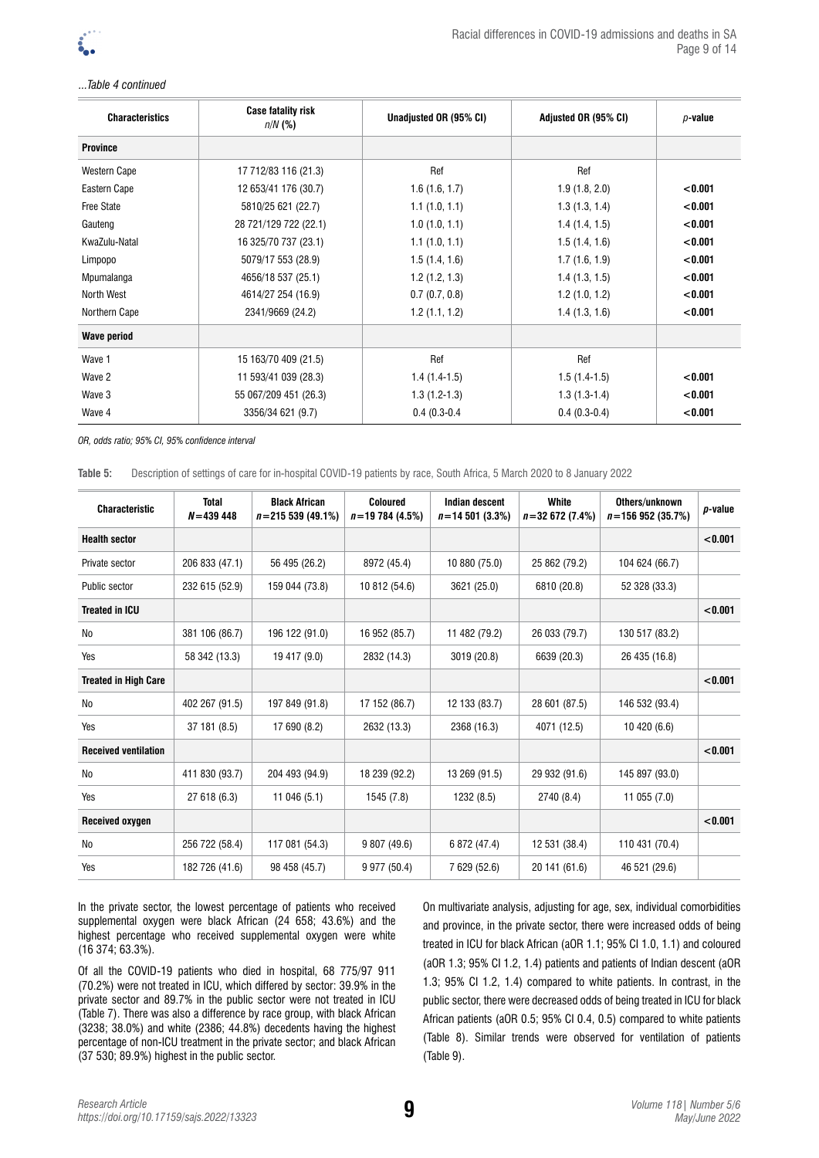

### *...Table 4 continued*

| <b>Characteristics</b> | <b>Case fatality risk</b><br>$n/N$ (%) | Unadjusted OR (95% CI) | Adjusted OR (95% CI) | $p$ -value |
|------------------------|----------------------------------------|------------------------|----------------------|------------|
| <b>Province</b>        |                                        |                        |                      |            |
| <b>Western Cape</b>    | 17 712/83 116 (21.3)                   | Ref                    | Ref                  |            |
| Eastern Cape           | 12 653/41 176 (30.7)                   | 1.6(1.6, 1.7)          | 1.9(1.8, 2.0)        | < 0.001    |
| <b>Free State</b>      | 5810/25 621 (22.7)                     | 1.1(1.0, 1.1)          | 1.3(1.3, 1.4)        | < 0.001    |
| Gauteng                | 28 721/129 722 (22.1)                  | 1.0(1.0, 1.1)          | 1.4(1.4, 1.5)        | < 0.001    |
| KwaZulu-Natal          | 16 325/70 737 (23.1)                   | 1.1(1.0, 1.1)          | 1.5(1.4, 1.6)        | < 0.001    |
| Limpopo                | 5079/17 553 (28.9)                     | 1.5(1.4, 1.6)          | 1.7(1.6, 1.9)        | < 0.001    |
| Mpumalanga             | 4656/18 537 (25.1)                     | 1.2(1.2, 1.3)          | 1.4(1.3, 1.5)        | < 0.001    |
| North West             | 4614/27 254 (16.9)                     | 0.7(0.7, 0.8)          | 1.2(1.0, 1.2)        | < 0.001    |
| Northern Cape          | 2341/9669 (24.2)                       | 1.2(1.1, 1.2)          | 1.4(1.3, 1.6)        | < 0.001    |
| <b>Wave period</b>     |                                        |                        |                      |            |
| Wave 1                 | 15 163/70 409 (21.5)                   | Ref                    | Ref                  |            |
| Wave 2                 | 11 593/41 039 (28.3)                   | $1.4(1.4-1.5)$         | $1.5(1.4-1.5)$       | < 0.001    |
| Wave 3                 | 55 067/209 451 (26.3)                  | $1.3(1.2-1.3)$         | $1.3(1.3-1.4)$       | < 0.001    |
| Wave 4                 | 3356/34 621 (9.7)                      | $0.4(0.3-0.4)$         | $0.4(0.3-0.4)$       | < 0.001    |

*OR, odds ratio; 95% CI, 95% confidence interval*

**Table 5:** Description of settings of care for in-hospital COVID-19 patients by race, South Africa, 5 March 2020 to 8 January 2022

| <b>Characteristic</b>       | <b>Total</b><br>$N = 439448$ | <b>Black African</b><br>$n = 215539(49.1%)$ | <b>Coloured</b><br>$n = 19784(4.5%)$ | <b>Indian descent</b><br>$n = 14501(3.3%)$ | White<br>$n = 32672(7.4%)$ | Others/unknown<br>$n = 156952(35.7%)$ | p-value |
|-----------------------------|------------------------------|---------------------------------------------|--------------------------------------|--------------------------------------------|----------------------------|---------------------------------------|---------|
| <b>Health sector</b>        |                              |                                             |                                      |                                            |                            |                                       | < 0.001 |
| Private sector              | 206 833 (47.1)               | 56 495 (26.2)                               | 8972 (45.4)                          | 10 880 (75.0)                              | 25 862 (79.2)              | 104 624 (66.7)                        |         |
| Public sector               | 232 615 (52.9)               | 159 044 (73.8)                              | 10 812 (54.6)                        | 3621 (25.0)                                | 6810 (20.8)                | 52 328 (33.3)                         |         |
| <b>Treated in ICU</b>       |                              |                                             |                                      |                                            |                            |                                       | < 0.001 |
| No                          | 381 106 (86.7)               | 196 122 (91.0)                              | 16 952 (85.7)                        | 11 482 (79.2)                              | 26 033 (79.7)              | 130 517 (83.2)                        |         |
| Yes                         | 58 342 (13.3)                | 19 417 (9.0)                                | 2832 (14.3)                          | 3019 (20.8)                                | 6639 (20.3)                | 26 435 (16.8)                         |         |
| <b>Treated in High Care</b> |                              |                                             |                                      |                                            |                            |                                       | < 0.001 |
| No                          | 402 267 (91.5)               | 197 849 (91.8)                              | 17 152 (86.7)                        | 12 133 (83.7)                              | 28 601 (87.5)              | 146 532 (93.4)                        |         |
| Yes                         | 37 181 (8.5)                 | 17 690 (8.2)                                | 2632 (13.3)                          | 2368 (16.3)                                | 4071 (12.5)                | 10 420 (6.6)                          |         |
| <b>Received ventilation</b> |                              |                                             |                                      |                                            |                            |                                       | < 0.001 |
| No                          | 411 830 (93.7)               | 204 493 (94.9)                              | 18 239 (92.2)                        | 13 269 (91.5)                              | 29 932 (91.6)              | 145 897 (93.0)                        |         |
| Yes                         | 27 618 (6.3)                 | 11 046 (5.1)                                | 1545 (7.8)                           | 1232 (8.5)                                 | 2740 (8.4)                 | 11 055 (7.0)                          |         |
| Received oxygen             |                              |                                             |                                      |                                            |                            |                                       | < 0.001 |
| No                          | 256 722 (58.4)               | 117 081 (54.3)                              | 9 807 (49.6)                         | 6 872 (47.4)                               | 12 531 (38.4)              | 110 431 (70.4)                        |         |
| Yes                         | 182 726 (41.6)               | 98 458 (45.7)                               | 9 977 (50.4)                         | 7 629 (52.6)                               | 20 141 (61.6)              | 46 521 (29.6)                         |         |

In the private sector, the lowest percentage of patients who received supplemental oxygen were black African (24 658; 43.6%) and the highest percentage who received supplemental oxygen were white (16 374; 63.3%).

Of all the COVID-19 patients who died in hospital, 68 775/97 911 (70.2%) were not treated in ICU, which differed by sector: 39.9% in the private sector and 89.7% in the public sector were not treated in ICU (Table 7). There was also a difference by race group, with black African (3238; 38.0%) and white (2386; 44.8%) decedents having the highest percentage of non-ICU treatment in the private sector; and black African (37 530; 89.9%) highest in the public sector.

On multivariate analysis, adjusting for age, sex, individual comorbidities and province, in the private sector, there were increased odds of being treated in ICU for black African (aOR 1.1; 95% CI 1.0, 1.1) and coloured (aOR 1.3; 95% CI 1.2, 1.4) patients and patients of Indian descent (aOR 1.3; 95% CI 1.2, 1.4) compared to white patients. In contrast, in the public sector, there were decreased odds of being treated in ICU for black African patients (aOR 0.5; 95% CI 0.4, 0.5) compared to white patients (Table 8). Similar trends were observed for ventilation of patients (Table 9).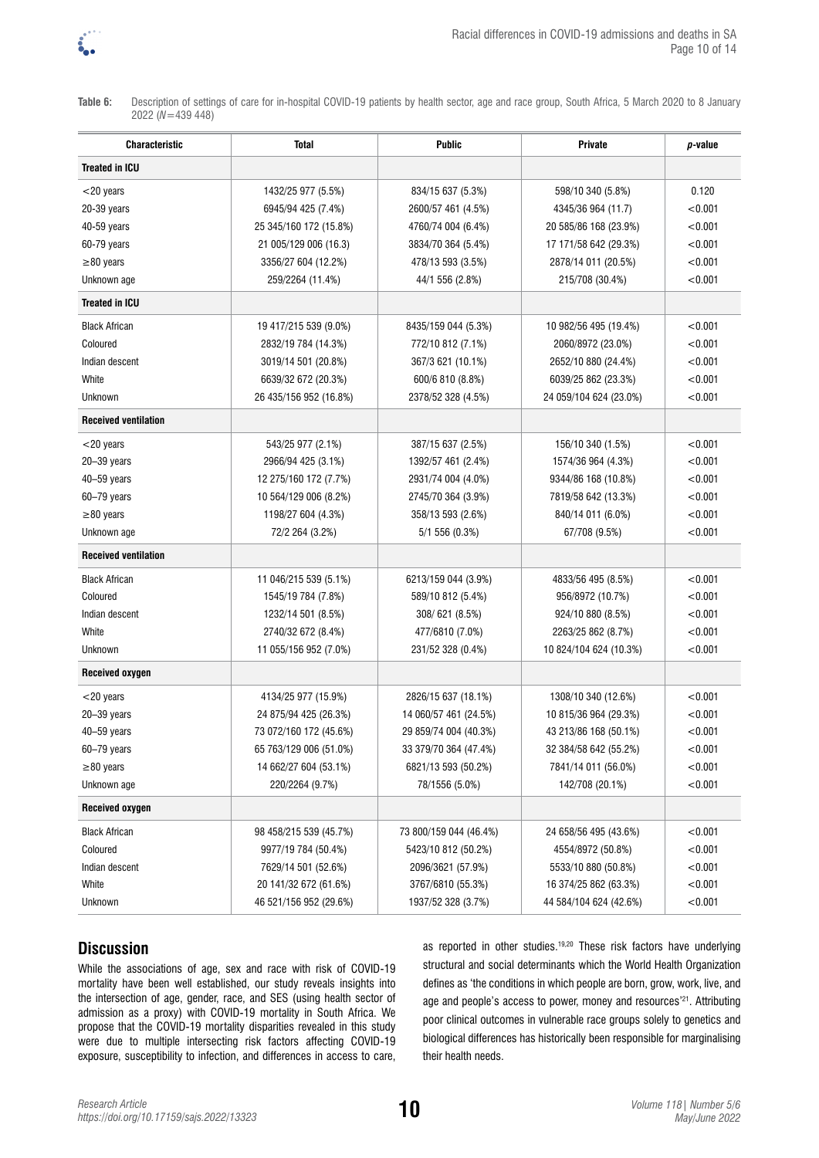

**Table 6:** Description of settings of care for in-hospital COVID-19 patients by health sector, age and race group, South Africa, 5 March 2020 to 8 January 2022 (*N*=439 448)

| <b>Characteristic</b>       | Total                  | <b>Public</b>          | Private                | p-value |
|-----------------------------|------------------------|------------------------|------------------------|---------|
| <b>Treated in ICU</b>       |                        |                        |                        |         |
| $<$ 20 years                | 1432/25 977 (5.5%)     | 834/15 637 (5.3%)      | 598/10 340 (5.8%)      | 0.120   |
| 20-39 years                 | 6945/94 425 (7.4%)     | 2600/57 461 (4.5%)     | 4345/36 964 (11.7)     | < 0.001 |
| 40-59 years                 | 25 345/160 172 (15.8%) | 4760/74 004 (6.4%)     | 20 585/86 168 (23.9%)  | < 0.001 |
| 60-79 years                 | 21 005/129 006 (16.3)  | 3834/70 364 (5.4%)     | 17 171/58 642 (29.3%)  | < 0.001 |
| $\geq$ 80 years             | 3356/27 604 (12.2%)    | 478/13 593 (3.5%)      | 2878/14 011 (20.5%)    | < 0.001 |
| Unknown age                 | 259/2264 (11.4%)       | 44/1 556 (2.8%)        | 215/708 (30.4%)        | < 0.001 |
| <b>Treated in ICU</b>       |                        |                        |                        |         |
| <b>Black African</b>        | 19 417/215 539 (9.0%)  | 8435/159 044 (5.3%)    | 10 982/56 495 (19.4%)  | < 0.001 |
| Coloured                    | 2832/19 784 (14.3%)    | 772/10 812 (7.1%)      | 2060/8972 (23.0%)      | < 0.001 |
| Indian descent              | 3019/14 501 (20.8%)    | 367/3 621 (10.1%)      | 2652/10 880 (24.4%)    | < 0.001 |
| White                       | 6639/32 672 (20.3%)    | 600/6 810 (8.8%)       | 6039/25 862 (23.3%)    | < 0.001 |
| Unknown                     | 26 435/156 952 (16.8%) | 2378/52 328 (4.5%)     | 24 059/104 624 (23.0%) | < 0.001 |
| <b>Received ventilation</b> |                        |                        |                        |         |
| $<$ 20 years                | 543/25 977 (2.1%)      | 387/15 637 (2.5%)      | 156/10 340 (1.5%)      | < 0.001 |
| 20-39 years                 | 2966/94 425 (3.1%)     | 1392/57 461 (2.4%)     | 1574/36 964 (4.3%)     | < 0.001 |
| 40-59 years                 | 12 275/160 172 (7.7%)  | 2931/74 004 (4.0%)     | 9344/86 168 (10.8%)    | < 0.001 |
| 60-79 years                 | 10 564/129 006 (8.2%)  | 2745/70 364 (3.9%)     | 7819/58 642 (13.3%)    | < 0.001 |
| $\geq$ 80 years             | 1198/27 604 (4.3%)     | 358/13 593 (2.6%)      | 840/14 011 (6.0%)      | < 0.001 |
| Unknown age                 | 72/2 264 (3.2%)        | 5/1 556 (0.3%)         | 67/708 (9.5%)          | < 0.001 |
| <b>Received ventilation</b> |                        |                        |                        |         |
| <b>Black African</b>        | 11 046/215 539 (5.1%)  | 6213/159 044 (3.9%)    | 4833/56 495 (8.5%)     | < 0.001 |
| Coloured                    | 1545/19 784 (7.8%)     | 589/10 812 (5.4%)      | 956/8972 (10.7%)       | < 0.001 |
| Indian descent              | 1232/14 501 (8.5%)     | 308/621 (8.5%)         | 924/10 880 (8.5%)      | < 0.001 |
| White                       | 2740/32 672 (8.4%)     | 477/6810 (7.0%)        | 2263/25 862 (8.7%)     | < 0.001 |
| Unknown                     | 11 055/156 952 (7.0%)  | 231/52 328 (0.4%)      | 10 824/104 624 (10.3%) | < 0.001 |
| <b>Received oxygen</b>      |                        |                        |                        |         |
| $<$ 20 years                | 4134/25 977 (15.9%)    | 2826/15 637 (18.1%)    | 1308/10 340 (12.6%)    | < 0.001 |
| 20-39 years                 | 24 875/94 425 (26.3%)  | 14 060/57 461 (24.5%)  | 10 815/36 964 (29.3%)  | < 0.001 |
| 40-59 years                 | 73 072/160 172 (45.6%) | 29 859/74 004 (40.3%)  | 43 213/86 168 (50.1%)  | < 0.001 |
| 60-79 years                 | 65 763/129 006 (51.0%) | 33 379/70 364 (47.4%)  | 32 384/58 642 (55.2%)  | < 0.001 |
| $\geq$ 80 years             | 14 662/27 604 (53.1%)  | 6821/13 593 (50.2%)    | 7841/14 011 (56.0%)    | < 0.001 |
| Unknown age                 | 220/2264 (9.7%)        | 78/1556 (5.0%)         | 142/708 (20.1%)        | < 0.001 |
| <b>Received oxygen</b>      |                        |                        |                        |         |
| <b>Black African</b>        | 98 458/215 539 (45.7%) | 73 800/159 044 (46.4%) | 24 658/56 495 (43.6%)  | < 0.001 |
| Coloured                    | 9977/19 784 (50.4%)    | 5423/10 812 (50.2%)    | 4554/8972 (50.8%)      | < 0.001 |
| Indian descent              | 7629/14 501 (52.6%)    | 2096/3621 (57.9%)      | 5533/10 880 (50.8%)    | < 0.001 |
| White                       | 20 141/32 672 (61.6%)  | 3767/6810 (55.3%)      | 16 374/25 862 (63.3%)  | < 0.001 |
| Unknown                     | 46 521/156 952 (29.6%) | 1937/52 328 (3.7%)     | 44 584/104 624 (42.6%) | < 0.001 |

# **Discussion**

While the associations of age, sex and race with risk of COVID-19 mortality have been well established, our study reveals insights into the intersection of age, gender, race, and SES (using health sector of admission as a proxy) with COVID-19 mortality in South Africa. We propose that the COVID-19 mortality disparities revealed in this study were due to multiple intersecting risk factors affecting COVID-19 exposure, susceptibility to infection, and differences in access to care, as reported in other studies.19,20 These risk factors have underlying structural and social determinants which the World Health Organization defines as 'the conditions in which people are born, grow, work, live, and age and people's access to power, money and resources'<sup>21</sup>. Attributing poor clinical outcomes in vulnerable race groups solely to genetics and biological differences has historically been responsible for marginalising their health needs.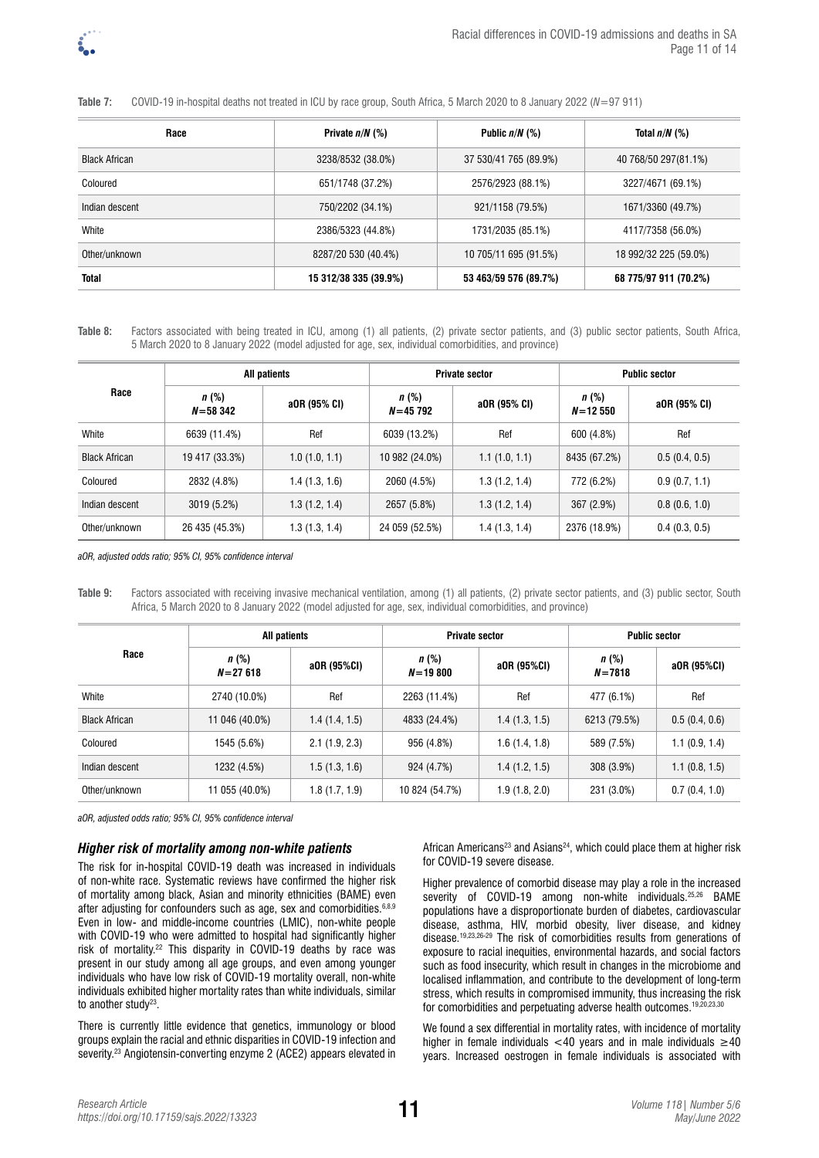

### **Table 7:** COVID-19 in-hospital deaths not treated in ICU by race group, South Africa, 5 March 2020 to 8 January 2022 (*N*=97 911)

| Race                 | Private $n/N$ (%)     | Public $n/N$ (%)      | Total $n/N$ (%)       |
|----------------------|-----------------------|-----------------------|-----------------------|
| <b>Black African</b> | 3238/8532 (38.0%)     | 37 530/41 765 (89.9%) | 40 768/50 297(81.1%)  |
| Coloured             | 651/1748 (37.2%)      | 2576/2923 (88.1%)     | 3227/4671 (69.1%)     |
| Indian descent       | 750/2202 (34.1%)      | 921/1158 (79.5%)      | 1671/3360 (49.7%)     |
| White                | 2386/5323 (44.8%)     | 1731/2035 (85.1%)     | 4117/7358 (56.0%)     |
| Other/unknown        | 8287/20 530 (40.4%)   | 10 705/11 695 (91.5%) | 18 992/32 225 (59.0%) |
| <b>Total</b>         | 15 312/38 335 (39.9%) | 53 463/59 576 (89.7%) | 68 775/97 911 (70.2%) |

**Table 8:** Factors associated with being treated in ICU, among (1) all patients, (2) private sector patients, and (3) public sector patients, South Africa, 5 March 2020 to 8 January 2022 (model adjusted for age, sex, individual comorbidities, and province)

| Race                 | All patients           |               |                     | <b>Private sector</b> | <b>Public sector</b>   |               |  |
|----------------------|------------------------|---------------|---------------------|-----------------------|------------------------|---------------|--|
|                      | $n$ (%)<br>$N = 58342$ | a0R (95% CI)  | n(%)<br>$N = 45792$ | a0R (95% CI)          | $n$ (%)<br>$N = 12550$ | a0R (95% CI)  |  |
| White                | 6639 (11.4%)           | Ref           | 6039 (13.2%)        | Ref                   | 600 (4.8%)             | Ref           |  |
| <b>Black African</b> | 19 417 (33.3%)         | 1.0(1.0, 1.1) | 10 982 (24.0%)      | 1.1(1.0, 1.1)         | 8435 (67.2%)           | 0.5(0.4, 0.5) |  |
| Coloured             | 2832 (4.8%)            | 1.4(1.3, 1.6) | 2060 (4.5%)         | 1.3(1.2, 1.4)         | 772 (6.2%)             | 0.9(0.7, 1.1) |  |
| Indian descent       | 3019 (5.2%)            | 1.3(1.2, 1.4) | 2657 (5.8%)         | 1.3(1.2, 1.4)         | 367 (2.9%)             | 0.8(0.6, 1.0) |  |
| Other/unknown        | 26 435 (45.3%)         | 1.3(1.3, 1.4) | 24 059 (52.5%)      | 1.4 (1.3, 1.4)        | 2376 (18.9%)           | 0.4(0.3, 0.5) |  |

*aOR, adjusted odds ratio; 95% CI, 95% confidence interval*

**Table 9:** Factors associated with receiving invasive mechanical ventilation, among (1) all patients, (2) private sector patients, and (3) public sector, South Africa, 5 March 2020 to 8 January 2022 (model adjusted for age, sex, individual comorbidities, and province)

| Race                 | <b>All patients</b>    |                | <b>Private sector</b>  |               | <b>Public sector</b>  |               |
|----------------------|------------------------|----------------|------------------------|---------------|-----------------------|---------------|
|                      | $n$ (%)<br>$N = 27618$ | a0R (95%CI)    | $n$ (%)<br>$N = 19800$ | a0R (95%CI)   | $n$ (%)<br>$N = 7818$ | a0R (95%CI)   |
| White                | 2740 (10.0%)           | Ref            | 2263 (11.4%)           | Ref           | 477 (6.1%)            | Ref           |
| <b>Black African</b> | 11 046 (40.0%)         | 1.4(1.4, 1.5)  | 4833 (24.4%)           | 1.4(1.3, 1.5) | 6213 (79.5%)          | 0.5(0.4, 0.6) |
| Coloured             | 1545 (5.6%)            | 2.1(1.9, 2.3)  | 956 (4.8%)             | 1.6(1.4, 1.8) | 589 (7.5%)            | 1.1(0.9, 1.4) |
| Indian descent       | 1232 (4.5%)            | 1.5(1.3, 1.6)  | 924 (4.7%)             | 1.4(1.2, 1.5) | 308 (3.9%)            | 1.1(0.8, 1.5) |
| Other/unknown        | 11 055 (40.0%)         | 1.8 (1.7, 1.9) | 10 824 (54.7%)         | 1.9(1.8, 2.0) | 231 (3.0%)            | 0.7(0.4, 1.0) |

*aOR, adjusted odds ratio; 95% CI, 95% confidence interval*

### *Higher risk of mortality among non-white patients*

The risk for in-hospital COVID-19 death was increased in individuals of non-white race. Systematic reviews have confirmed the higher risk of mortality among black, Asian and minority ethnicities (BAME) even after adjusting for confounders such as age, sex and comorbidities. 6,8,9 Even in low- and middle-income countries (LMIC), non-white people with COVID-19 who were admitted to hospital had significantly higher risk of mortality.22 This disparity in COVID-19 deaths by race was present in our study among all age groups, and even among younger individuals who have low risk of COVID-19 mortality overall, non-white individuals exhibited higher mortality rates than white individuals, similar to another study<sup>23</sup>.

There is currently little evidence that genetics, immunology or blood groups explain the racial and ethnic disparities in COVID-19 infection and severity.23 Angiotensin-converting enzyme 2 (ACE2) appears elevated in African Americans<sup>23</sup> and Asians<sup>24</sup>, which could place them at higher risk for COVID-19 severe disease.

Higher prevalence of comorbid disease may play a role in the increased severity of COVID-19 among non-white individuals.<sup>25,26</sup> BAME populations have a disproportionate burden of diabetes, cardiovascular disease, asthma, HIV, morbid obesity, liver disease, and kidney disease.19,23,26-29 The risk of comorbidities results from generations of exposure to racial inequities, environmental hazards, and social factors such as food insecurity, which result in changes in the microbiome and localised inflammation, and contribute to the development of long-term stress, which results in compromised immunity, thus increasing the risk for comorbidities and perpetuating adverse health outcomes.19,20,23,30

We found a sex differential in mortality rates, with incidence of mortality higher in female individuals <40 years and in male individuals  $\geq 40$ years. Increased oestrogen in female individuals is associated with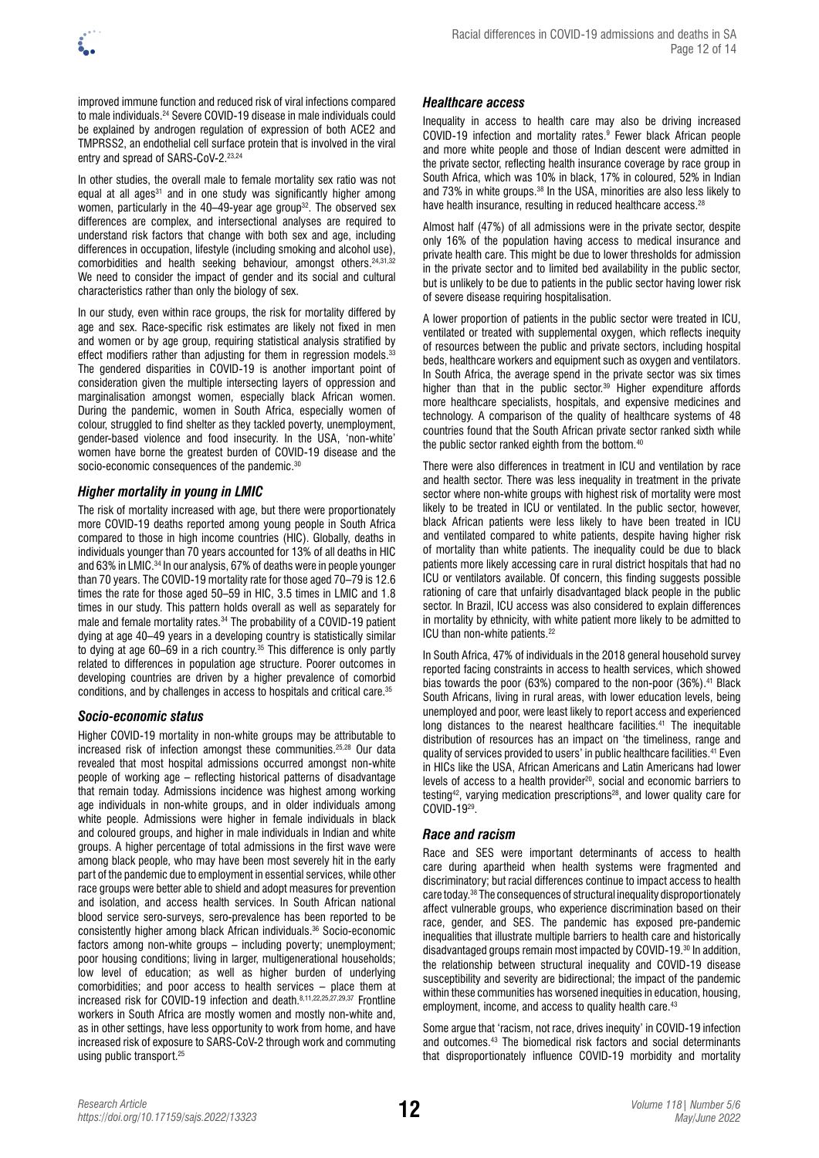

improved immune function and reduced risk of viral infections compared to male individuals.24 Severe COVID-19 disease in male individuals could be explained by androgen regulation of expression of both ACE2 and TMPRSS2, an endothelial cell surface protein that is involved in the viral entry and spread of SARS-CoV-2.<sup>23,24</sup>

In other studies, the overall male to female mortality sex ratio was not equal at all ages<sup>31</sup> and in one study was significantly higher among women, particularly in the 40–49-year age group<sup>32</sup>. The observed sex differences are complex, and intersectional analyses are required to understand risk factors that change with both sex and age, including differences in occupation, lifestyle (including smoking and alcohol use), comorbidities and health seeking behaviour, amongst others.<sup>24,31,32</sup> We need to consider the impact of gender and its social and cultural characteristics rather than only the biology of sex.

In our study, even within race groups, the risk for mortality differed by age and sex. Race-specific risk estimates are likely not fixed in men and women or by age group, requiring statistical analysis stratified by effect modifiers rather than adjusting for them in regression models. $33$ The gendered disparities in COVID-19 is another important point of consideration given the multiple intersecting layers of oppression and marginalisation amongst women, especially black African women. During the pandemic, women in South Africa, especially women of colour, struggled to find shelter as they tackled poverty, unemployment, gender-based violence and food insecurity. In the USA, 'non-white' women have borne the greatest burden of COVID-19 disease and the socio-economic consequences of the pandemic.<sup>30</sup>

## *Higher mortality in young in LMIC*

The risk of mortality increased with age, but there were proportionately more COVID-19 deaths reported among young people in South Africa compared to those in high income countries (HIC). Globally, deaths in individuals younger than 70 years accounted for 13% of all deaths in HIC and 63% in LMIC.<sup>34</sup> In our analysis, 67% of deaths were in people younger than 70 years. The COVID-19 mortality rate for those aged 70–79 is 12.6 times the rate for those aged 50–59 in HIC, 3.5 times in LMIC and 1.8 times in our study. This pattern holds overall as well as separately for male and female mortality rates.34 The probability of a COVID-19 patient dying at age 40–49 years in a developing country is statistically similar to dying at age 60–69 in a rich country.<sup>35</sup> This difference is only partly related to differences in population age structure. Poorer outcomes in developing countries are driven by a higher prevalence of comorbid conditions, and by challenges in access to hospitals and critical care.35

## *Socio-economic status*

Higher COVID-19 mortality in non-white groups may be attributable to increased risk of infection amongst these communities.25,28 Our data revealed that most hospital admissions occurred amongst non-white people of working age – reflecting historical patterns of disadvantage that remain today. Admissions incidence was highest among working age individuals in non-white groups, and in older individuals among white people. Admissions were higher in female individuals in black and coloured groups, and higher in male individuals in Indian and white groups. A higher percentage of total admissions in the first wave were among black people, who may have been most severely hit in the early part of the pandemic due to employment in essential services, while other race groups were better able to shield and adopt measures for prevention and isolation, and access health services. In South African national blood service sero-surveys, sero-prevalence has been reported to be consistently higher among black African individuals.36 Socio-economic factors among non-white groups – including poverty; unemployment; poor housing conditions; living in larger, multigenerational households; low level of education; as well as higher burden of underlying comorbidities; and poor access to health services – place them at increased risk for COVID-19 infection and death.8,11,22,25,27,29,37 Frontline workers in South Africa are mostly women and mostly non-white and, as in other settings, have less opportunity to work from home, and have increased risk of exposure to SARS-CoV-2 through work and commuting using public transport.<sup>25</sup>

### *Healthcare access*

Inequality in access to health care may also be driving increased COVID-19 infection and mortality rates.9 Fewer black African people and more white people and those of Indian descent were admitted in the private sector, reflecting health insurance coverage by race group in South Africa, which was 10% in black, 17% in coloured, 52% in Indian and 73% in white groups.<sup>38</sup> In the USA, minorities are also less likely to have health insurance, resulting in reduced healthcare access.<sup>28</sup>

Almost half (47%) of all admissions were in the private sector, despite only 16% of the population having access to medical insurance and private health care. This might be due to lower thresholds for admission in the private sector and to limited bed availability in the public sector, but is unlikely to be due to patients in the public sector having lower risk of severe disease requiring hospitalisation.

A lower proportion of patients in the public sector were treated in ICU, ventilated or treated with supplemental oxygen, which reflects inequity of resources between the public and private sectors, including hospital beds, healthcare workers and equipment such as oxygen and ventilators. In South Africa, the average spend in the private sector was six times higher than that in the public sector.<sup>39</sup> Higher expenditure affords more healthcare specialists, hospitals, and expensive medicines and technology. A comparison of the quality of healthcare systems of 48 countries found that the South African private sector ranked sixth while the public sector ranked eighth from the bottom.<sup>40</sup>

There were also differences in treatment in ICU and ventilation by race and health sector. There was less inequality in treatment in the private sector where non-white groups with highest risk of mortality were most likely to be treated in ICU or ventilated. In the public sector, however, black African patients were less likely to have been treated in ICU and ventilated compared to white patients, despite having higher risk of mortality than white patients. The inequality could be due to black patients more likely accessing care in rural district hospitals that had no ICU or ventilators available. Of concern, this finding suggests possible rationing of care that unfairly disadvantaged black people in the public sector. In Brazil, ICU access was also considered to explain differences in mortality by ethnicity, with white patient more likely to be admitted to ICU than non-white patients.<sup>22</sup>

In South Africa, 47% of individuals in the 2018 general household survey reported facing constraints in access to health services, which showed bias towards the poor (63%) compared to the non-poor (36%).<sup>41</sup> Black South Africans, living in rural areas, with lower education levels, being unemployed and poor, were least likely to report access and experienced long distances to the nearest healthcare facilities.<sup>41</sup> The inequitable distribution of resources has an impact on 'the timeliness, range and quality of services provided to users' in public healthcare facilities.41 Even in HICs like the USA, African Americans and Latin Americans had lower levels of access to a health provider<sup>20</sup>, social and economic barriers to testing42, varying medication prescriptions28, and lower quality care for COVID-1929.

## *Race and racism*

Race and SES were important determinants of access to health care during apartheid when health systems were fragmented and discriminatory; but racial differences continue to impact access to health care today.38 The consequences of structural inequality disproportionately affect vulnerable groups, who experience discrimination based on their race, gender, and SES. The pandemic has exposed pre-pandemic inequalities that illustrate multiple barriers to health care and historically disadvantaged groups remain most impacted by COVID-19.30 In addition, the relationship between structural inequality and COVID-19 disease susceptibility and severity are bidirectional; the impact of the pandemic within these communities has worsened inequities in education, housing, employment, income, and access to quality health care.<sup>43</sup>

Some argue that 'racism, not race, drives inequity' in COVID-19 infection and outcomes.43 The biomedical risk factors and social determinants that disproportionately influence COVID-19 morbidity and mortality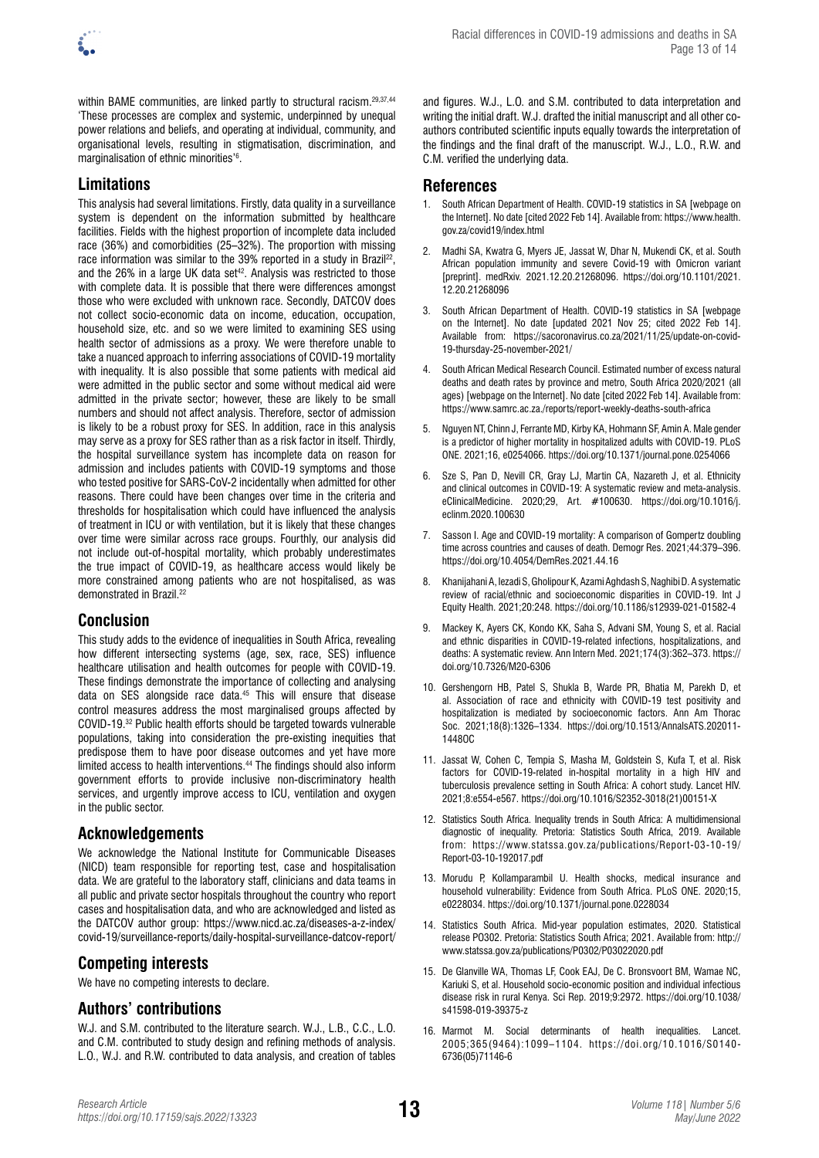

within BAME communities, are linked partly to structural racism.29,37,44 'These processes are complex and systemic, underpinned by unequal power relations and beliefs, and operating at individual, community, and organisational levels, resulting in stigmatisation, discrimination, and marginalisation of ethnic minorities'6 .

# **Limitations**

This analysis had several limitations. Firstly, data quality in a surveillance system is dependent on the information submitted by healthcare facilities. Fields with the highest proportion of incomplete data included race (36%) and comorbidities (25–32%). The proportion with missing race information was similar to the 39% reported in a study in Brazil<sup>22</sup>, and the  $26\%$  in a large UK data set<sup>42</sup>. Analysis was restricted to those with complete data. It is possible that there were differences amongst those who were excluded with unknown race. Secondly, DATCOV does not collect socio-economic data on income, education, occupation, household size, etc. and so we were limited to examining SES using health sector of admissions as a proxy. We were therefore unable to take a nuanced approach to inferring associations of COVID-19 mortality with inequality. It is also possible that some patients with medical aid were admitted in the public sector and some without medical aid were admitted in the private sector; however, these are likely to be small numbers and should not affect analysis. Therefore, sector of admission is likely to be a robust proxy for SES. In addition, race in this analysis may serve as a proxy for SES rather than as a risk factor in itself. Thirdly, the hospital surveillance system has incomplete data on reason for admission and includes patients with COVID-19 symptoms and those who tested positive for SARS-CoV-2 incidentally when admitted for other reasons. There could have been changes over time in the criteria and thresholds for hospitalisation which could have influenced the analysis of treatment in ICU or with ventilation, but it is likely that these changes over time were similar across race groups. Fourthly, our analysis did not include out-of-hospital mortality, which probably underestimates the true impact of COVID-19, as healthcare access would likely be more constrained among patients who are not hospitalised, as was demonstrated in Brazil.<sup>22</sup>

# **Conclusion**

This study adds to the evidence of inequalities in South Africa, revealing how different intersecting systems (age, sex, race, SES) influence healthcare utilisation and health outcomes for people with COVID-19. These findings demonstrate the importance of collecting and analysing data on SES alongside race data.<sup>45</sup> This will ensure that disease control measures address the most marginalised groups affected by COVID-19.32 Public health efforts should be targeted towards vulnerable populations, taking into consideration the pre-existing inequities that predispose them to have poor disease outcomes and yet have more limited access to health interventions.<sup>44</sup> The findings should also inform government efforts to provide inclusive non-discriminatory health services, and urgently improve access to ICU, ventilation and oxygen in the public sector.

# **Acknowledgements**

We acknowledge the National Institute for Communicable Diseases (NICD) team responsible for reporting test, case and hospitalisation data. We are grateful to the laboratory staff, clinicians and data teams in all public and private sector hospitals throughout the country who report cases and hospitalisation data, and who are acknowledged and listed as the DATCOV author group: [https://www.nicd.ac.za/diseases-a-z-index/](https://www.nicd.ac.za/diseases-a-z-index/covid-19/surveillance-reports/daily-hospital-surveillance-datcov-report/) [covid-19/surveillance-reports/daily-hospital-surveillance-datcov-report/](https://www.nicd.ac.za/diseases-a-z-index/covid-19/surveillance-reports/daily-hospital-surveillance-datcov-report/)

## **Competing interests**

We have no competing interests to declare.

## **Authors' contributions**

W.J. and S.M. contributed to the literature search. W.J., L.B., C.C., L.O. and C.M. contributed to study design and refining methods of analysis. L.O., W.J. and R.W. contributed to data analysis, and creation of tables

and figures. W.J., L.O. and S.M. contributed to data interpretation and writing the initial draft. W.J. drafted the initial manuscript and all other coauthors contributed scientific inputs equally towards the interpretation of the findings and the final draft of the manuscript. W.J., L.O., R.W. and C.M. verified the underlying data.

# **References**

- 1. South African Department of Health. COVID-19 statistics in SA [webpage on the Internet]. No date [cited 2022 Feb 14]. Available from: [https://www.health.](https://www.health.gov.za/covid19/index.html) [gov.za/covid19/index.html](https://www.health.gov.za/covid19/index.html)
- 2. Madhi SA, Kwatra G, Myers JE, Jassat W, Dhar N, Mukendi CK, et al. South African population immunity and severe Covid-19 with Omicron variant [preprint]. medRxiv. 2021.12.20.21268096. [https://doi.org/10.1101/2021.](https://doi.org/10.1101/2021.12.20.21268096) [12.20.21268096](https://doi.org/10.1101/2021.12.20.21268096)
- 3. South African Department of Health. COVID-19 statistics in SA [webpage on the Internet]. No date [updated 2021 Nov 25; cited 2022 Feb 14]. Available from: [https://sacoronavirus.co.za/2021/11/25/update-on-covid-](https://sacoronavirus.co.za/2021/11/25/update-on-covid-19-thursday-25-november-2021/)[19-thursday-25-november-2021/](https://sacoronavirus.co.za/2021/11/25/update-on-covid-19-thursday-25-november-2021/)
- 4. South African Medical Research Council. Estimated number of excess natural deaths and death rates by province and metro, South Africa 2020/2021 (all ages) [webpage on the Internet]. No date [cited 2022 Feb 14]. Available from: <https://www.samrc.ac.za./reports/report-weekly-deaths-south-africa>
- 5. Nguyen NT, Chinn J, Ferrante MD, Kirby KA, Hohmann SF, Amin A. Male gender is a predictor of higher mortality in hospitalized adults with COVID-19. PLoS ONE. 2021;16, e0254066. <https://doi.org/10.1371/journal.pone.0254066>
- 6. Sze S, Pan D, Nevill CR, Gray LJ, Martin CA, Nazareth J, et al. Ethnicity and clinical outcomes in COVID-19: A systematic review and meta-analysis. eClinicalMedicine. 2020;29, Art. #100630. [https://doi.org/10.1016/j.](https://doi.org/10.1016/j.eclinm.2020.100630) [eclinm.2020.100630](https://doi.org/10.1016/j.eclinm.2020.100630)
- 7. Sasson I. Age and COVID-19 mortality: A comparison of Gompertz doubling time across countries and causes of death. Demogr Res. 2021;44:379–396. <https://doi.org/10.4054/DemRes.2021.44.16>
- 8. Khanijahani A, Iezadi S, Gholipour K, Azami Aghdash S, Naghibi D. A systematic review of racial/ethnic and socioeconomic disparities in COVID-19. Int J Equity Health. 2021;20:248. <https://doi.org/10.1186/s12939-021-01582-4>
- 9. Mackey K, Ayers CK, Kondo KK, Saha S, Advani SM, Young S, et al. Racial and ethnic disparities in COVID-19-related infections, hospitalizations, and deaths: A systematic review. Ann Intern Med. 2021;174(3):362–373. [https://](https://doi.org/10.7326/M20-6306) [doi.org/10.7326/M20-6306](https://doi.org/10.7326/M20-6306)
- 10. Gershengorn HB, Patel S, Shukla B, Warde PR, Bhatia M, [Parekh](https://www.atsjournals.org/author/Parekh%2C+Dipen) D, et al. Association of race and ethnicity with COVID-19 test positivity and hospitalization is mediated by socioeconomic factors. Ann Am Thorac Soc. 2021;18(8):1326–1334. [https://doi.org/10.1513/AnnalsATS.202011-](https://doi.org/10.1513/AnnalsATS.202011-1448OC) [1448OC](https://doi.org/10.1513/AnnalsATS.202011-1448OC)
- 11. Jassat W, Cohen C, Tempia S, Masha M, Goldstein S, Kufa T, et al. Risk factors for COVID-19-related in-hospital mortality in a high HIV and tuberculosis prevalence setting in South Africa: A cohort study. Lancet HIV. 2021;8:e554-e567. [https://doi.org/10.1016/S2352-3018\(21\)00151-X](https://doi.org/10.1016/S2352-3018(21)00151-X)
- 12. Statistics South Africa. Inequality trends in South Africa: A multidimensional diagnostic of inequality. Pretoria: Statistics South Africa, 2019. Available from: https://www.statssa.gov.za/publications/Report-03-10-19/ [Report-03-10-192017.pdf](https://www.statssa.gov.za/publications/Report-03-10-19/Report-03-10-192017.pdf)
- 13. Morudu P, Kollamparambil U. Health shocks, medical insurance and household vulnerability: Evidence from South Africa. PLoS ONE. 2020;15, e0228034. <https://doi.org/10.1371/journal.pone.0228034>
- 14. Statistics South Africa. Mid-year population estimates, 2020. Statistical release PO302. Pretoria: Statistics South Africa; 2021. Available from: [http://](http://www.statssa.gov.za/publications/P0302/P03022020.pdf) [www.statssa.gov.za/publications/P0302/P03022020.pdf](http://www.statssa.gov.za/publications/P0302/P03022020.pdf)
- 15. De Glanville WA, Thomas LF, Cook EAJ, De C. Bronsvoort BM, Wamae NC, Kariuki S, et al. Household socio-economic position and individual infectious disease risk in rural Kenya. Sci Rep. 2019;9:2972. [https://doi.org/10.1038/](https://doi.org/10.1038/s41598-019-39375-z) [s41598-019-39375-z](https://doi.org/10.1038/s41598-019-39375-z)
- 16. Marmot M. Social determinants of health inequalities. Lancet. 2005;365(9464):1099–1104. [https://doi.org/10.1016/S0140-](https://doi.org/10.1016/S0140-6736(05)71146-6) [6736\(05\)71146-6](https://doi.org/10.1016/S0140-6736(05)71146-6)